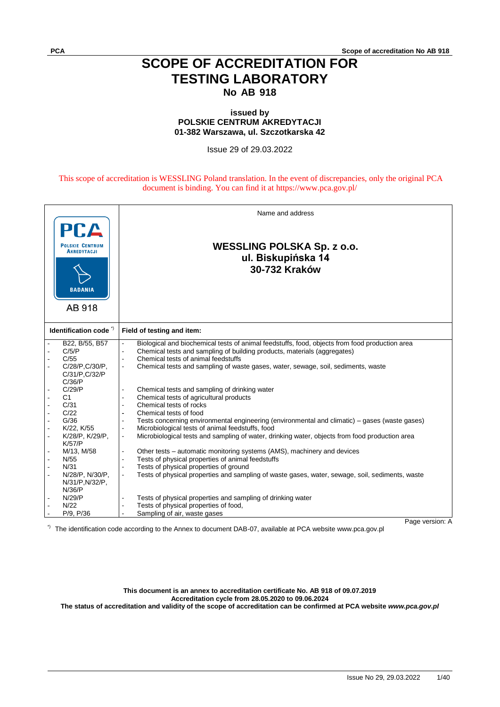## **SCOPE OF ACCREDITATION FOR TESTING LABORATORY No AB 918**

## **issued by POLSKIE CENTRUM AKREDYTACJI 01-382 Warszawa, ul. Szczotkarska 42**

Issue 29 of 29.03.2022

This scope of accreditation is WESSLING Poland translation. In the event of discrepancies, only the original PCA document is binding. You can find it at https://www.pca.gov.pl/

| <b>PCA</b>                       | Name and address                                                                                                |
|----------------------------------|-----------------------------------------------------------------------------------------------------------------|
| <b>POLSKIE CENTRUM</b>           |                                                                                                                 |
| <b>AKREDYTACJI</b>               | <b>WESSLING POLSKA Sp. z o.o.</b>                                                                               |
|                                  | ul. Biskupińska 14                                                                                              |
| <b>BADANIA</b>                   | 30-732 Kraków                                                                                                   |
|                                  |                                                                                                                 |
| AB 918                           |                                                                                                                 |
|                                  |                                                                                                                 |
| Identification code <sup>7</sup> | Field of testing and item:                                                                                      |
| B22, B/55, B57                   | Biological and biochemical tests of animal feedstuffs, food, objects from food production area                  |
| C/5/P                            | Chemical tests and sampling of building products, materials (aggregates)                                        |
| C/55                             | Chemical tests of animal feedstuffs<br>$\blacksquare$                                                           |
| C/28/P,C/30/P,                   | Chemical tests and sampling of waste gases, water, sewage, soil, sediments, waste<br>$\mathbf{r}$               |
| C/31/P, C/32/P                   |                                                                                                                 |
| C/36/P                           |                                                                                                                 |
| C/29/P                           | Chemical tests and sampling of drinking water                                                                   |
| C <sub>1</sub>                   | Chemical tests of agricultural products<br>$\blacksquare$                                                       |
| C/31                             | Chemical tests of rocks<br>$\blacksquare$                                                                       |
| C/22                             | Chemical tests of food                                                                                          |
| G/36                             | Tests concerning environmental engineering (environmental and climatic) – gases (waste gases)                   |
| K/22, K/55                       | Microbiological tests of animal feedstuffs, food<br>$\blacksquare$                                              |
| K/28/P, K/29/P,                  | Microbiological tests and sampling of water, drinking water, objects from food production area<br>$\omega$      |
| K/57/P                           |                                                                                                                 |
| M/13, M/58                       | Other tests – automatic monitoring systems (AMS), machinery and devices<br>$\blacksquare$                       |
| N/55                             | Tests of physical properties of animal feedstuffs                                                               |
| N/31                             | Tests of physical properties of ground<br>$\sim$                                                                |
| N/28/P, N/30/P,                  | Tests of physical properties and sampling of waste gases, water, sewage, soil, sediments, waste<br>$\mathbf{r}$ |
| N/31/P, N/32/P,                  |                                                                                                                 |
| N/36/P                           |                                                                                                                 |
| N/29/P                           | Tests of physical properties and sampling of drinking water                                                     |
| N/22                             | Tests of physical properties of food,<br>$\sim$                                                                 |
| P/9, P/36                        | Sampling of air, waste gases                                                                                    |
|                                  | Page version: A                                                                                                 |

\*) The identification code according to the Annex to document DAB-07, available at PCA website www.pca.gov.pl

Page version: A

**This document is an annex to accreditation certificate No. AB 918 of 09.07.2019 Accreditation cycle from 28.05.2020 to 09.06.2024 The status of accreditation and validity of the scope of accreditation can be confirmed at PCA website** *www.pca.gov.pl*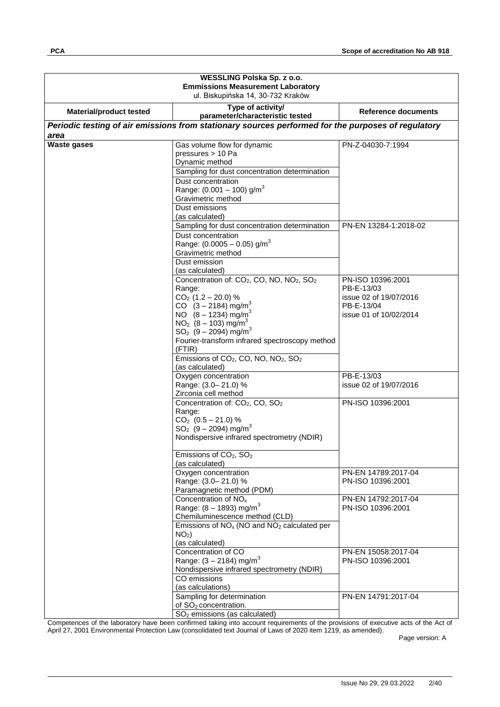| WESSLING Polska Sp. z o.o.<br><b>Emmissions Measurement Laboratory</b><br>ul. Biskupińska 14, 30-732 Kraków |                                                                                                                                                                                                                                                                                                                                                                                                                                                     |                                                                                                   |
|-------------------------------------------------------------------------------------------------------------|-----------------------------------------------------------------------------------------------------------------------------------------------------------------------------------------------------------------------------------------------------------------------------------------------------------------------------------------------------------------------------------------------------------------------------------------------------|---------------------------------------------------------------------------------------------------|
| <b>Material/product tested</b>                                                                              | Type of activity/<br>parameter/characteristic tested                                                                                                                                                                                                                                                                                                                                                                                                | Reference documents                                                                               |
| area                                                                                                        | Periodic testing of air emissions from stationary sources performed for the purposes of regulatory                                                                                                                                                                                                                                                                                                                                                  |                                                                                                   |
| <b>Waste gases</b>                                                                                          | Gas volume flow for dynamic<br>pressures > 10 Pa<br>Dynamic method<br>Sampling for dust concentration determination<br>Dust concentration<br>Range: $(0.001 - 100)$ g/m <sup>3</sup><br>Gravimetric method<br>Dust emissions                                                                                                                                                                                                                        | PN-Z-04030-7:1994                                                                                 |
|                                                                                                             | (as calculated)<br>Sampling for dust concentration determination<br>Dust concentration<br>Range: $(0.0005 - 0.05)$ g/m <sup>3</sup><br>Gravimetric method<br>Dust emission                                                                                                                                                                                                                                                                          | PN-EN 13284-1:2018-02                                                                             |
|                                                                                                             | (as calculated)<br>Concentration of: CO <sub>2</sub> , CO, NO, NO <sub>2</sub> , SO <sub>2</sub><br>Range:<br>$CO2$ (1.2 – 20.0) %<br>CO $(3 - 2184)$ mg/m <sup>3</sup><br>NO $(8 - 1234)$ mg/m <sup>3</sup><br>$NO2$ (8 – 103) mg/m <sup>3</sup><br>$SO_2$ (9 – 2094) mg/m <sup>3</sup><br>Fourier-transform infrared spectroscopy method<br>(FTIR)<br>Emissions of CO <sub>2</sub> , CO, NO, NO <sub>2</sub> , SO <sub>2</sub><br>(as calculated) | PN-ISO 10396:2001<br>PB-E-13/03<br>issue 02 of 19/07/2016<br>PB-E-13/04<br>issue 01 of 10/02/2014 |
|                                                                                                             | Oxygen concentration<br>Range: (3.0-21.0) %<br>Zirconia cell method                                                                                                                                                                                                                                                                                                                                                                                 | PB-E-13/03<br>issue 02 of 19/07/2016                                                              |
|                                                                                                             | Concentration of: CO <sub>2</sub> , CO, SO <sub>2</sub><br>Range:<br>$CO2$ (0.5 - 21.0) %<br>$SO_2$ (9 – 2094) mg/m <sup>3</sup><br>Nondispersive infrared spectrometry (NDIR)<br>Emissions of CO <sub>2</sub> , SO <sub>2</sub><br>(as calculated)                                                                                                                                                                                                 | PN-ISO 10396:2001                                                                                 |
|                                                                                                             | Oxygen concentration<br>Range: (3.0-21.0) %<br>Paramagnetic method (PDM)                                                                                                                                                                                                                                                                                                                                                                            | PN-EN 14789:2017-04<br>PN-ISO 10396:2001                                                          |
|                                                                                                             | Concentration of NO <sub>x</sub><br>Range: $(8 - 1893)$ mg/m <sup>3</sup><br>Chemiluminescence method (CLD)<br>Emissions of $NOx$ (NO and $NO2$ calculated per<br>NO <sub>2</sub> )<br>(as calculated)                                                                                                                                                                                                                                              | PN-EN 14792:2017-04<br>PN-ISO 10396:2001                                                          |
|                                                                                                             | Concentration of CO<br>Range: $(3 - 2184)$ mg/m <sup>3</sup><br>Nondispersive infrared spectrometry (NDIR)<br>CO emissions<br>(as calculations)                                                                                                                                                                                                                                                                                                     | PN-EN 15058:2017-04<br>PN-ISO 10396:2001                                                          |
|                                                                                                             | Sampling for determination<br>of SO <sub>2</sub> concentration.<br>SO <sub>2</sub> emissions (as calculated)                                                                                                                                                                                                                                                                                                                                        | PN-EN 14791:2017-04                                                                               |

Competences of the laboratory have been confirmed taking into account requirements of the provisions of executive acts of the Act of April 27, 2001 Environmental Protection Law (consolidated text Journal of Laws of 2020 item 1219, as amended).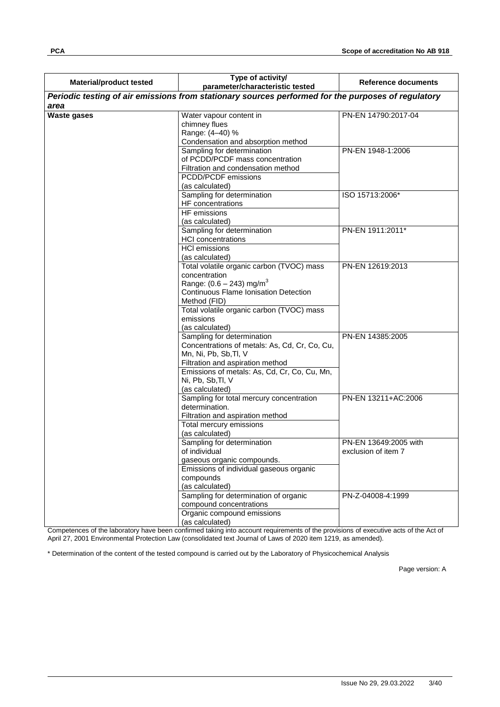| <b>Material/product tested</b> | Type of activity/<br>parameter/characteristic tested                                                                                                                                                                                              | Reference documents                          |
|--------------------------------|---------------------------------------------------------------------------------------------------------------------------------------------------------------------------------------------------------------------------------------------------|----------------------------------------------|
|                                | Periodic testing of air emissions from stationary sources performed for the purposes of regulatory                                                                                                                                                |                                              |
| area                           |                                                                                                                                                                                                                                                   |                                              |
| <b>Waste gases</b>             | Water vapour content in<br>chimney flues<br>Range: (4-40) %<br>Condensation and absorption method                                                                                                                                                 | PN-EN 14790:2017-04                          |
|                                | Sampling for determination<br>of PCDD/PCDF mass concentration<br>Filtration and condensation method<br>PCDD/PCDF emissions<br>(as calculated)                                                                                                     | PN-EN 1948-1:2006                            |
|                                | Sampling for determination<br>HF concentrations<br>HF emissions<br>(as calculated)                                                                                                                                                                | ISO 15713:2006*                              |
|                                | Sampling for determination<br><b>HCI</b> concentrations<br><b>HCI</b> emissions<br>(as calculated)                                                                                                                                                | PN-EN 1911:2011*                             |
|                                | Total volatile organic carbon (TVOC) mass<br>concentration<br>Range: $(0.6 - 243)$ mg/m <sup>3</sup><br><b>Continuous Flame Ionisation Detection</b><br>Method (FID)<br>Total volatile organic carbon (TVOC) mass<br>emissions<br>(as calculated) | PN-EN 12619:2013                             |
|                                | Sampling for determination<br>Concentrations of metals: As, Cd, Cr, Co, Cu,<br>Mn, Ni, Pb, Sb, Tl, V<br>Filtration and aspiration method<br>Emissions of metals: As, Cd, Cr, Co, Cu, Mn,<br>Ni, Pb, Sb, Tl, V<br>(as calculated)                  | PN-EN 14385:2005                             |
|                                | Sampling for total mercury concentration<br>determination.<br>Filtration and aspiration method<br>Total mercury emissions<br>(as calculated)                                                                                                      | PN-EN 13211+AC:2006                          |
|                                | Sampling for determination<br>of individual<br>gaseous organic compounds.<br>Emissions of individual gaseous organic<br>compounds<br>(as calculated)                                                                                              | PN-EN 13649:2005 with<br>exclusion of item 7 |
|                                | Sampling for determination of organic<br>compound concentrations<br>Organic compound emissions<br>(as calculated)                                                                                                                                 | PN-Z-04008-4:1999                            |

Competences of the laboratory have been confirmed taking into account requirements of the provisions of executive acts of the Act of April 27, 2001 Environmental Protection Law (consolidated text Journal of Laws of 2020 item 1219, as amended).

\* Determination of the content of the tested compound is carried out by the Laboratory of Physicochemical Analysis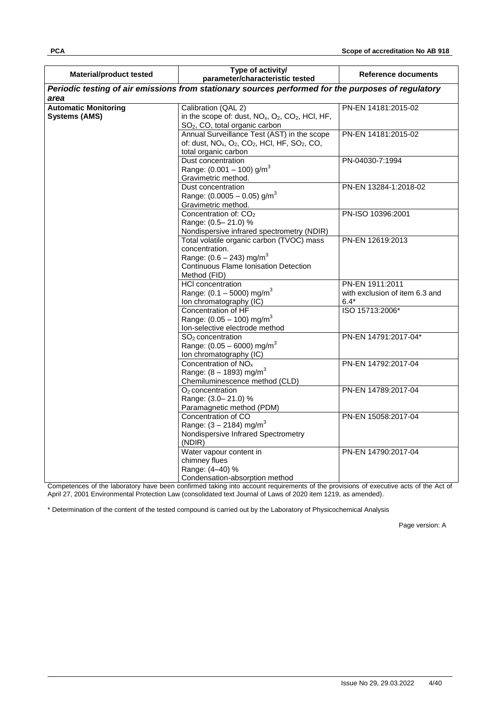| <b>Material/product tested</b>                      | Type of activity/<br>parameter/characteristic tested                                                                                                                 | Reference documents                                         |
|-----------------------------------------------------|----------------------------------------------------------------------------------------------------------------------------------------------------------------------|-------------------------------------------------------------|
|                                                     | Periodic testing of air emissions from stationary sources performed for the purposes of regulatory                                                                   |                                                             |
| area                                                |                                                                                                                                                                      |                                                             |
| <b>Automatic Monitoring</b><br><b>Systems (AMS)</b> | Calibration (QAL 2)<br>in the scope of: dust, $NOx$ , $O2$ , $CO2$ , HCI, HF,<br>SO <sub>2</sub> , CO, total organic carbon                                          | PN-EN 14181:2015-02                                         |
|                                                     | Annual Surveillance Test (AST) in the scope<br>of: dust, NO <sub>x</sub> , O <sub>2</sub> , CO <sub>2</sub> , HCI, HF, SO <sub>2</sub> , CO,<br>total organic carbon | PN-EN 14181:2015-02                                         |
|                                                     | Dust concentration<br>Range: $(0.001 - 100)$ g/m <sup>3</sup><br>Gravimetric method.                                                                                 | PN-04030-7:1994                                             |
|                                                     | Dust concentration<br>Range: $(0.0005 - 0.05)$ g/m <sup>3</sup><br>Gravimetric method.                                                                               | PN-EN 13284-1:2018-02                                       |
|                                                     | Concentration of: CO <sub>2</sub><br>Range: (0.5-21.0) %<br>Nondispersive infrared spectrometry (NDIR)                                                               | PN-ISO 10396:2001                                           |
|                                                     | Total volatile organic carbon (TVOC) mass<br>concentration.<br>Range: $(0.6 - 243)$ mg/m <sup>3</sup><br>Continuous Flame Ionisation Detection<br>Method (FID)       | PN-EN 12619:2013                                            |
|                                                     | <b>HCI</b> concentration<br>Range: $(0.1 - 5000)$ mg/m <sup>3</sup><br>Ion chromatography (IC)                                                                       | PN-EN 1911:2011<br>with exclusion of item 6.3 and<br>$6.4*$ |
|                                                     | Concentration of HF<br>Range: $(0.05 - 100)$ mg/m <sup>3</sup><br>Ion-selective electrode method                                                                     | ISO 15713:2006*                                             |
|                                                     | SO <sub>2</sub> concentration<br>Range: $(0.05 - 6000)$ mg/m <sup>3</sup><br>Ion chromatography (IC)                                                                 | PN-EN 14791:2017-04*                                        |
|                                                     | Concentration of NO <sub>x</sub><br>Range: $(8 - 1893)$ mg/m <sup>3</sup><br>Chemiluminescence method (CLD)                                                          | PN-EN 14792:2017-04                                         |
|                                                     | $O2$ concentration<br>Range: (3.0-21.0) %<br>Paramagnetic method (PDM)                                                                                               | PN-EN 14789:2017-04                                         |
|                                                     | Concentration of CO<br>Range: $(3 - 2184)$ mg/m <sup>3</sup><br>Nondispersive Infrared Spectrometry<br>(NDIR)                                                        | PN-EN 15058:2017-04                                         |
|                                                     | Water vapour content in<br>chimney flues<br>Range: (4-40) %<br>Condensation-absorption method                                                                        | PN-EN 14790:2017-04                                         |

Competences of the laboratory have been confirmed taking into account requirements of the provisions of executive acts of the Act of April 27, 2001 Environmental Protection Law (consolidated text Journal of Laws of 2020 item 1219, as amended).

\* Determination of the content of the tested compound is carried out by the Laboratory of Physicochemical Analysis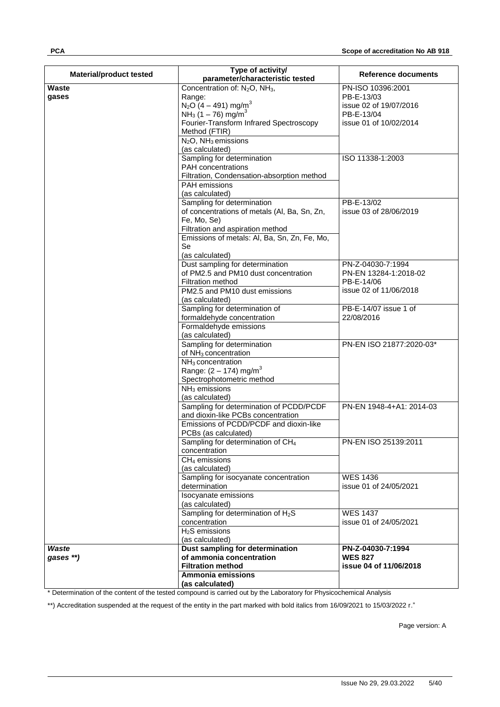| <b>Material/product tested</b> | Type of activity/<br>parameter/characteristic tested                                                                                                                                                                               | Reference documents                                                                               |
|--------------------------------|------------------------------------------------------------------------------------------------------------------------------------------------------------------------------------------------------------------------------------|---------------------------------------------------------------------------------------------------|
| <b>Waste</b><br>gases          | Concentration of: $N_2O$ , $NH_3$ ,<br>Range:<br>$N_2O(4 - 491)$ mg/m <sup>3</sup><br>NH <sub>3</sub> (1 – 76) mg/m <sup>3</sup><br>Fourier-Transform Infrared Spectroscopy<br>Method (FTIR)<br>$N_2O$ , NH <sub>3</sub> emissions | PN-ISO 10396:2001<br>PB-E-13/03<br>issue 02 of 19/07/2016<br>PB-E-13/04<br>issue 01 of 10/02/2014 |
|                                | (as calculated)<br>Sampling for determination<br>PAH concentrations<br>Filtration, Condensation-absorption method<br>PAH emissions<br>(as calculated)                                                                              | ISO 11338-1:2003                                                                                  |
|                                | Sampling for determination<br>of concentrations of metals (Al, Ba, Sn, Zn,<br>Fe, Mo, Se)<br>Filtration and aspiration method<br>Emissions of metals: Al, Ba, Sn, Zn, Fe, Mo,<br><b>Se</b><br>(as calculated)                      | PB-E-13/02<br>issue 03 of 28/06/2019                                                              |
|                                | Dust sampling for determination<br>of PM2.5 and PM10 dust concentration<br>Filtration method<br>PM2.5 and PM10 dust emissions<br>(as calculated)                                                                                   | PN-Z-04030-7:1994<br>PN-EN 13284-1:2018-02<br>PB-E-14/06<br>issue 02 of 11/06/2018                |
|                                | Sampling for determination of<br>formaldehyde concentration<br>Formaldehyde emissions<br>(as calculated)                                                                                                                           | PB-E-14/07 issue 1 of<br>22/08/2016                                                               |
|                                | Sampling for determination<br>of NH <sub>3</sub> concentration<br>NH <sub>3</sub> concentration<br>Range: $(2 - 174)$ mg/m <sup>3</sup><br>Spectrophotometric method<br>$NH3$ emissions<br>(as calculated)                         | PN-EN ISO 21877:2020-03*                                                                          |
|                                | Sampling for determination of PCDD/PCDF<br>and dioxin-like PCBs concentration<br>Emissions of PCDD/PCDF and dioxin-like<br>PCBs (as calculated)                                                                                    | PN-EN 1948-4+A1: 2014-03                                                                          |
|                                | Sampling for determination of CH <sub>4</sub><br>concentration<br>$CH4$ emissions<br>(as calculated)                                                                                                                               | PN-EN ISO 25139:2011                                                                              |
|                                | Sampling for isocyanate concentration<br>determination<br>Isocyanate emissions<br>(as calculated)                                                                                                                                  | <b>WES 1436</b><br>issue 01 of 24/05/2021                                                         |
|                                | Sampling for determination of $H_2S$<br>concentration<br>$H2S$ emissions<br>(as calculated)                                                                                                                                        | <b>WES 1437</b><br>issue 01 of 24/05/2021                                                         |
| Waste<br>gases **)             | Dust sampling for determination<br>of ammonia concentration<br><b>Filtration method</b><br>Ammonia emissions<br>(as calculated)                                                                                                    | PN-Z-04030-7:1994<br><b>WES 827</b><br>issue 04 of 11/06/2018                                     |

\* Determination of the content of the tested compound is carried out by the Laboratory for Physicochemical Analysis

\*\*) Accreditation suspended at the request of the entity in the part marked with bold italics from 16/09/2021 to 15/03/2022 r."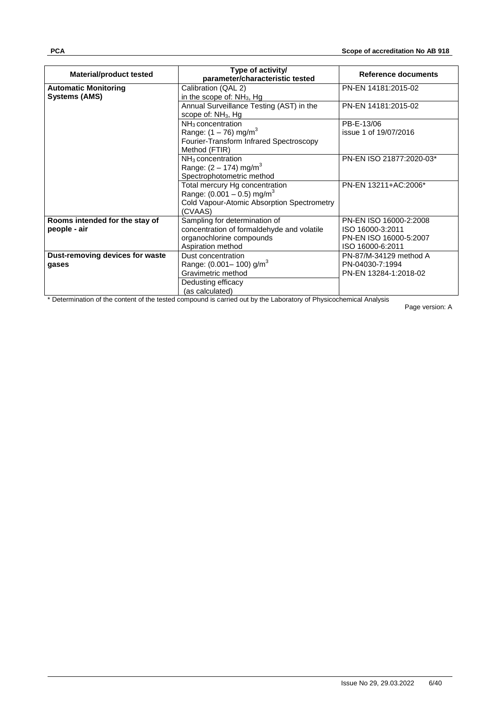| <b>Material/product tested</b>                      | Type of activity/<br>parameter/characteristic tested                                                                                | Reference documents                                                                      |
|-----------------------------------------------------|-------------------------------------------------------------------------------------------------------------------------------------|------------------------------------------------------------------------------------------|
| <b>Automatic Monitoring</b><br><b>Systems (AMS)</b> | Calibration (QAL 2)<br>in the scope of: NH <sub>3</sub> , Hg                                                                        | PN-EN 14181:2015-02                                                                      |
|                                                     | Annual Surveillance Testing (AST) in the<br>scope of: NH <sub>3</sub> , Hg                                                          | PN-EN 14181:2015-02                                                                      |
|                                                     | $NH3$ concentration<br>Range: $(1 - 76)$ mg/m <sup>3</sup><br>Fourier-Transform Infrared Spectroscopy<br>Method (FTIR)              | PB-E-13/06<br>issue 1 of 19/07/2016                                                      |
|                                                     | $NH3$ concentration<br>Range: $(2 - 174)$ mg/m <sup>3</sup><br>Spectrophotometric method                                            | PN-EN ISO 21877:2020-03*                                                                 |
|                                                     | Total mercury Hg concentration<br>Range: $(0.001 - 0.5)$ mg/m <sup>3</sup><br>Cold Vapour-Atomic Absorption Spectrometry<br>(CVAAS) | PN-EN 13211+AC:2006*                                                                     |
| Rooms intended for the stay of<br>people - air      | Sampling for determination of<br>concentration of formaldehyde and volatile<br>organochlorine compounds<br>Aspiration method        | PN-EN ISO 16000-2:2008<br>ISO 16000-3:2011<br>PN-EN ISO 16000-5:2007<br>ISO 16000-6:2011 |
| Dust-removing devices for waste<br>gases            | Dust concentration<br>Range: $(0.001 - 100)$ g/m <sup>3</sup><br>Gravimetric method<br>Dedusting efficacy<br>(as calculated)        | PN-87/M-34129 method A<br>PN-04030-7:1994<br>PN-EN 13284-1:2018-02                       |

\* Determination of the content of the tested compound is carried out by the Laboratory of Physicochemical Analysis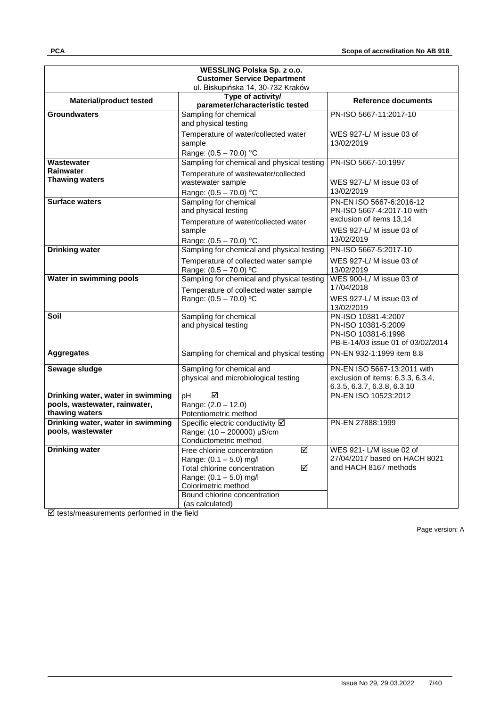| WESSLING Polska Sp. z o.o.         |                                                           |                                       |  |  |
|------------------------------------|-----------------------------------------------------------|---------------------------------------|--|--|
| <b>Customer Service Department</b> |                                                           |                                       |  |  |
| ul. Biskupińska 14, 30-732 Kraków  |                                                           |                                       |  |  |
| <b>Material/product tested</b>     | Type of activity/<br>parameter/characteristic tested      | Reference documents                   |  |  |
| <b>Groundwaters</b>                | Sampling for chemical                                     | PN-ISO 5667-11:2017-10                |  |  |
|                                    | and physical testing                                      |                                       |  |  |
|                                    | Temperature of water/collected water                      | WES 927-L/M issue 03 of               |  |  |
|                                    | sample                                                    | 13/02/2019                            |  |  |
|                                    | Range: $(0.5 - 70.0)$ °C                                  |                                       |  |  |
| Wastewater                         | Sampling for chemical and physical testing                | PN-ISO 5667-10:1997                   |  |  |
| <b>Rainwater</b>                   | Temperature of wastewater/collected                       |                                       |  |  |
| <b>Thawing waters</b>              | wastewater sample                                         | WES 927-L/M issue 03 of               |  |  |
|                                    | Range: $(0.5 - 70.0)$ °C                                  | 13/02/2019                            |  |  |
| Surface waters                     | Sampling for chemical                                     | PN-EN ISO 5667-6:2016-12              |  |  |
|                                    | and physical testing                                      | PN-ISO 5667-4:2017-10 with            |  |  |
|                                    | Temperature of water/collected water                      | exclusion of items 13,14              |  |  |
|                                    | sample                                                    | WES 927-L/M issue 03 of               |  |  |
|                                    | Range: (0.5 - 70.0) °C                                    | 13/02/2019                            |  |  |
| <b>Drinking water</b>              | Sampling for chemical and physical testing                | PN-ISO 5667-5:2017-10                 |  |  |
|                                    | Temperature of collected water sample                     | WES 927-L/M issue 03 of               |  |  |
|                                    | Range: (0.5 - 70.0) °C                                    | 13/02/2019                            |  |  |
| Water in swimming pools            | Sampling for chemical and physical testing                | WES 900-L/M issue 03 of<br>17/04/2018 |  |  |
|                                    | Temperature of collected water sample                     |                                       |  |  |
|                                    | Range: $(0.5 - 70.0)$ °C                                  | WES 927-L/M issue 03 of               |  |  |
| Soil                               | Sampling for chemical                                     | 13/02/2019<br>PN-ISO 10381-4:2007     |  |  |
|                                    | and physical testing                                      | PN-ISO 10381-5:2009                   |  |  |
|                                    |                                                           | PN-ISO 10381-6:1998                   |  |  |
|                                    |                                                           | PB-E-14/03 issue 01 of 03/02/2014     |  |  |
| <b>Aggregates</b>                  | Sampling for chemical and physical testing                | PN-EN 932-1:1999 item 8.8             |  |  |
| Sewage sludge                      | Sampling for chemical and                                 | PN-EN ISO 5667-13:2011 with           |  |  |
|                                    | physical and microbiological testing                      | exclusion of items: 6.3.3, 6.3.4,     |  |  |
|                                    |                                                           | 6.3.5, 6.3.7, 6.3.8, 6.3.10           |  |  |
| Drinking water, water in swimming  | ☑<br>pH                                                   | PN-EN ISO 10523:2012                  |  |  |
| pools, wastewater, rainwater,      | Range: (2.0 - 12.0)                                       |                                       |  |  |
| thawing waters                     | Potentiometric method                                     |                                       |  |  |
| Drinking water, water in swimming  | Specific electric conductivity Ø                          | PN-EN 27888:1999                      |  |  |
| pools, wastewater                  | Range: (10 - 200000) µS/cm                                |                                       |  |  |
| <b>Drinking water</b>              | Conductometric method<br>☑<br>Free chlorine concentration | WES 921-L/M issue 02 of               |  |  |
|                                    | Range: $(0.1 - 5.0)$ mg/l                                 | 27/04/2017 based on HACH 8021         |  |  |
|                                    | ☑<br>Total chlorine concentration                         | and HACH 8167 methods                 |  |  |
|                                    | Range: (0.1 - 5.0) mg/l                                   |                                       |  |  |
|                                    | Colorimetric method                                       |                                       |  |  |
|                                    | Bound chlorine concentration                              |                                       |  |  |
|                                    | (as calculated)                                           |                                       |  |  |

 $\overline{\boxtimes}$  tests/measurements performed in the field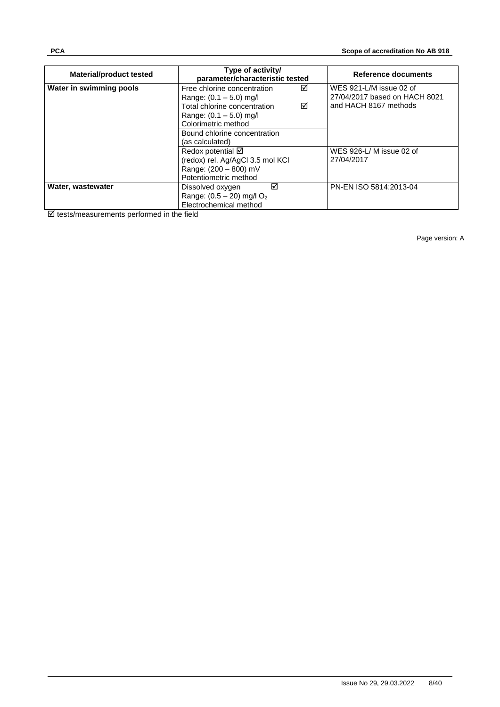| <b>Material/product tested</b> | Type of activity/<br>parameter/characteristic tested                                                                                                                                                      | Reference documents                                                               |
|--------------------------------|-----------------------------------------------------------------------------------------------------------------------------------------------------------------------------------------------------------|-----------------------------------------------------------------------------------|
| Water in swimming pools        | Free chlorine concentration<br>☑<br>Range: $(0.1 - 5.0)$ mg/l<br>Total chlorine concentration<br>☑<br>Range: $(0.1 - 5.0)$ mg/l<br>Colorimetric method<br>Bound chlorine concentration<br>(as calculated) | WES 921-L/M issue 02 of<br>27/04/2017 based on HACH 8021<br>and HACH 8167 methods |
|                                | Redox potential $\boxtimes$<br>(redox) rel. Ag/AgCl 3.5 mol KCl<br>Range: (200 - 800) mV<br>Potentiometric method                                                                                         | WES 926-L/M issue 02 of<br>27/04/2017                                             |
| Water, wastewater              | ☑<br>Dissolved oxygen<br>Range: $(0.5 - 20)$ mg/l O <sub>2</sub><br>Electrochemical method                                                                                                                | PN-EN ISO 5814:2013-04                                                            |

 $\boxtimes$  tests/measurements performed in the field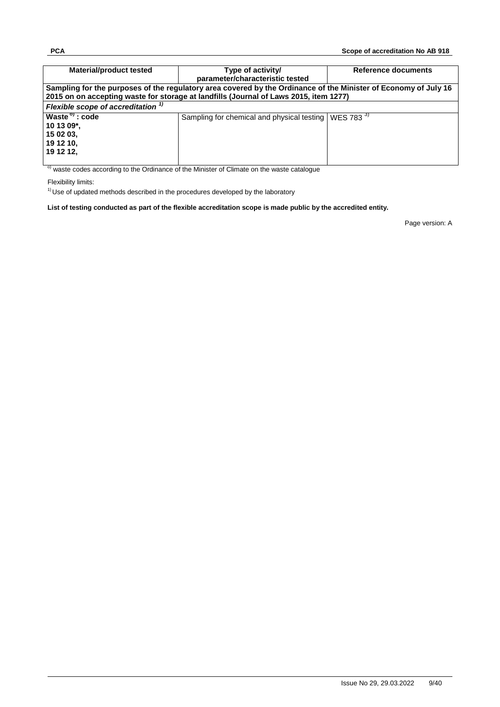| <b>Material/product tested</b>      | Type of activity/                                                                                               | Reference documents |
|-------------------------------------|-----------------------------------------------------------------------------------------------------------------|---------------------|
|                                     | parameter/characteristic tested                                                                                 |                     |
|                                     | Sampling for the purposes of the regulatory area covered by the Ordinance of the Minister of Economy of July 16 |                     |
|                                     | 2015 on on accepting waste for storage at landfills (Journal of Laws 2015, item 1277)                           |                     |
| Flexible scope of accreditation $1$ |                                                                                                                 |                     |
| Waste <sup>o</sup> : code           | Sampling for chemical and physical testing   WES 783 <sup>3)</sup>                                              |                     |
| 10 13 09*,                          |                                                                                                                 |                     |
| 15 02 03,                           |                                                                                                                 |                     |
| 19 12 10,                           |                                                                                                                 |                     |
| 19 12 12.                           |                                                                                                                 |                     |
|                                     |                                                                                                                 |                     |

<sup>o)</sup> waste codes according to the Ordinance of the Minister of Climate on the waste catalogue

Flexibility limits:

 $1)$  Use of updated methods described in the procedures developed by the laboratory

**List of testing conducted as part of the flexible accreditation scope is made public by the accredited entity.**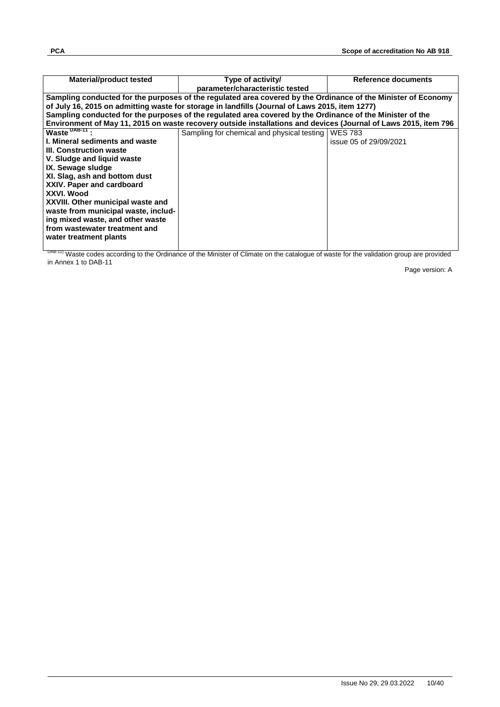| Material/product tested               | Type of activity/                                                                                               | Reference documents    |
|---------------------------------------|-----------------------------------------------------------------------------------------------------------------|------------------------|
|                                       | parameter/characteristic tested                                                                                 |                        |
|                                       | Sampling conducted for the purposes of the regulated area covered by the Ordinance of the Minister of Economy   |                        |
|                                       | of July 16, 2015 on admitting waste for storage in landfills (Journal of Laws 2015, item 1277)                  |                        |
|                                       | Sampling conducted for the purposes of the regulated area covered by the Ordinance of the Minister of the       |                        |
|                                       | Environment of May 11, 2015 on waste recovery outside installations and devices (Journal of Laws 2015, item 796 |                        |
| $Waste^{DB-11}$ :                     | Sampling for chemical and physical testing                                                                      | <b>WES 783</b>         |
| <b>I. Mineral sediments and waste</b> |                                                                                                                 | issue 05 of 29/09/2021 |
| III. Construction waste               |                                                                                                                 |                        |
| V. Sludge and liguid waste            |                                                                                                                 |                        |
| IX. Sewage sludge                     |                                                                                                                 |                        |
| XI. Slag, ash and bottom dust         |                                                                                                                 |                        |
| XXIV. Paper and cardboard             |                                                                                                                 |                        |
| XXVI. Wood                            |                                                                                                                 |                        |
| XXVIII. Other municipal waste and     |                                                                                                                 |                        |
| waste from municipal waste, includ-   |                                                                                                                 |                        |
| ing mixed waste, and other waste      |                                                                                                                 |                        |
| from wastewater treatment and         |                                                                                                                 |                        |
| water treatment plants                |                                                                                                                 |                        |
|                                       |                                                                                                                 |                        |

DAB-11) Waste codes according to the Ordinance of the Minister of Climate on the catalogue of waste for the validation group are provided in Annex 1 to DAB-11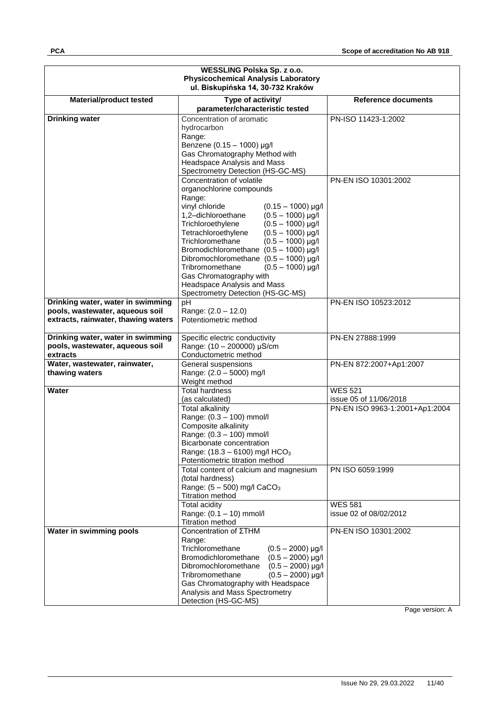| WESSLING Polska Sp. z o.o.<br><b>Physicochemical Analysis Laboratory</b><br>ul. Biskupińska 14, 30-732 Kraków |                                                                                                                                                                                                                                                                                                                                                                                                                                                                                                                              |                                                          |  |
|---------------------------------------------------------------------------------------------------------------|------------------------------------------------------------------------------------------------------------------------------------------------------------------------------------------------------------------------------------------------------------------------------------------------------------------------------------------------------------------------------------------------------------------------------------------------------------------------------------------------------------------------------|----------------------------------------------------------|--|
| <b>Material/product tested</b>                                                                                | Type of activity/<br>parameter/characteristic tested                                                                                                                                                                                                                                                                                                                                                                                                                                                                         | <b>Reference documents</b>                               |  |
| <b>Drinking water</b>                                                                                         | Concentration of aromatic<br>hydrocarbon<br>Range:<br>Benzene (0.15 - 1000) µg/l<br>Gas Chromatography Method with<br><b>Headspace Analysis and Mass</b><br>Spectrometry Detection (HS-GC-MS)                                                                                                                                                                                                                                                                                                                                | PN-ISO 11423-1:2002                                      |  |
|                                                                                                               | Concentration of volatile<br>organochlorine compounds<br>Range:<br>vinyl chloride<br>$(0.15 - 1000)$ µg/l<br>1,2-dichloroethane<br>$(0.5 - 1000)$ µg/l<br>Trichloroethylene<br>$(0.5 - 1000)$ µg/l<br>Tetrachloroethylene<br>$(0.5 - 1000)$ µg/l<br>Trichloromethane<br>$(0.5 - 1000)$ µg/l<br>Bromodichloromethane $(0.5 - 1000)$ µg/l<br>Dibromochloromethane $(0.5 - 1000)$ µg/l<br>Tribromomethane<br>$(0.5 - 1000)$ µg/l<br>Gas Chromatography with<br>Headspace Analysis and Mass<br>Spectrometry Detection (HS-GC-MS) | PN-EN ISO 10301:2002                                     |  |
| Drinking water, water in swimming                                                                             | pH                                                                                                                                                                                                                                                                                                                                                                                                                                                                                                                           | PN-EN ISO 10523:2012                                     |  |
| pools, wastewater, aqueous soil<br>extracts, rainwater, thawing waters                                        | Range: (2.0 - 12.0)<br>Potentiometric method                                                                                                                                                                                                                                                                                                                                                                                                                                                                                 |                                                          |  |
| Drinking water, water in swimming<br>pools, wastewater, aqueous soil<br>extracts                              | Specific electric conductivity<br>Range: (10 - 200000) µS/cm<br>Conductometric method                                                                                                                                                                                                                                                                                                                                                                                                                                        | PN-EN 27888:1999                                         |  |
| Water, wastewater, rainwater,<br>thawing waters                                                               | General suspensions<br>Range: (2.0 - 5000) mg/l<br>Weight method                                                                                                                                                                                                                                                                                                                                                                                                                                                             | PN-EN 872:2007+Ap1:2007                                  |  |
| Water                                                                                                         | <b>Total hardness</b>                                                                                                                                                                                                                                                                                                                                                                                                                                                                                                        | <b>WES 521</b>                                           |  |
|                                                                                                               | (as calculated)<br>Total alkalinity<br>Range: (0.3 - 100) mmol/l<br>Composite alkalinity<br>Range: (0.3 - 100) mmol/l<br>Bicarbonate concentration<br>Range: $(18.3 - 6100)$ mg/l HCO <sub>3</sub><br>Potentiometric titration method                                                                                                                                                                                                                                                                                        | issue 05 of 11/06/2018<br>PN-EN ISO 9963-1:2001+Ap1:2004 |  |
|                                                                                                               | Total content of calcium and magnesium<br>(total hardness)<br>Range: $(5 - 500)$ mg/l CaCO <sub>3</sub><br><b>Titration method</b>                                                                                                                                                                                                                                                                                                                                                                                           | PN ISO 6059:1999                                         |  |
|                                                                                                               | <b>Total acidity</b><br>Range: (0.1 - 10) mmol/l<br><b>Titration method</b>                                                                                                                                                                                                                                                                                                                                                                                                                                                  | <b>WES 581</b><br>issue 02 of 08/02/2012                 |  |
| Water in swimming pools                                                                                       | Concentration of ΣΤΗΜ<br>Range:<br>Trichloromethane<br>$(0.5 - 2000)$ µg/l<br>Bromodichloromethane<br>$(0.5 - 2000)$ µg/l<br>Dibromochloromethane<br>$(0.5 - 2000)$ µg/l<br>Tribromomethane<br>$(0.5 - 2000)$ µg/l<br>Gas Chromatography with Headspace<br>Analysis and Mass Spectrometry<br>Detection (HS-GC-MS)                                                                                                                                                                                                            | PN-EN ISO 10301:2002                                     |  |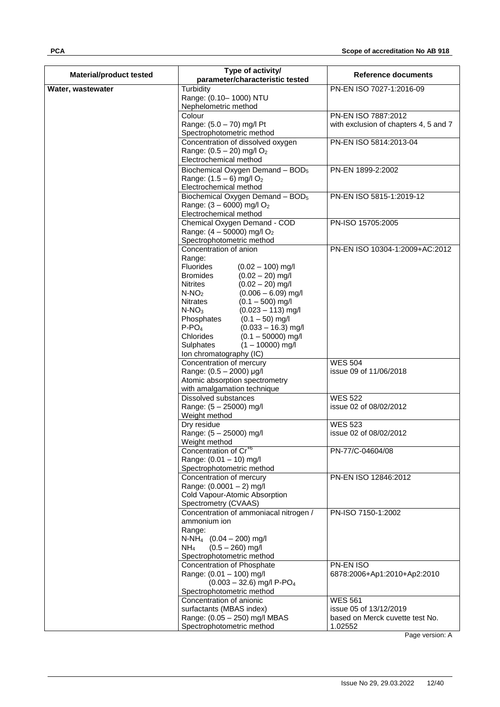| <b>Material/product tested</b> | Type of activity/<br>parameter/characteristic tested                                                                                                                                                                                                                                                                                                                                                                                      | Reference documents                                                                    |
|--------------------------------|-------------------------------------------------------------------------------------------------------------------------------------------------------------------------------------------------------------------------------------------------------------------------------------------------------------------------------------------------------------------------------------------------------------------------------------------|----------------------------------------------------------------------------------------|
| Water, wastewater              | Turbidity                                                                                                                                                                                                                                                                                                                                                                                                                                 | PN-EN ISO 7027-1:2016-09                                                               |
|                                | Range: (0.10-1000) NTU<br>Nephelometric method                                                                                                                                                                                                                                                                                                                                                                                            |                                                                                        |
|                                | Colour                                                                                                                                                                                                                                                                                                                                                                                                                                    | PN-EN ISO 7887:2012                                                                    |
|                                | Range: (5.0 - 70) mg/l Pt<br>Spectrophotometric method                                                                                                                                                                                                                                                                                                                                                                                    | with exclusion of chapters 4, 5 and 7                                                  |
|                                | Concentration of dissolved oxygen<br>Range: $(0.5 - 20)$ mg/l O <sub>2</sub><br>Electrochemical method                                                                                                                                                                                                                                                                                                                                    | PN-EN ISO 5814:2013-04                                                                 |
|                                | Biochemical Oxygen Demand - $BOD5$<br>Range: $(1.5 - 6)$ mg/l O <sub>2</sub><br>Electrochemical method                                                                                                                                                                                                                                                                                                                                    | PN-EN 1899-2:2002                                                                      |
|                                | Biochemical Oxygen Demand - BOD <sub>5</sub><br>Range: (3 - 6000) mg/l O <sub>2</sub><br>Electrochemical method                                                                                                                                                                                                                                                                                                                           | PN-EN ISO 5815-1:2019-12                                                               |
|                                | Chemical Oxygen Demand - COD<br>Range: $(4 - 50000)$ mg/l O <sub>2</sub><br>Spectrophotometric method                                                                                                                                                                                                                                                                                                                                     | PN-ISO 15705:2005                                                                      |
|                                | Concentration of anion<br>Range:<br>Fluorides<br>$(0.02 - 100)$ mg/l<br><b>Bromides</b><br>$(0.02 - 20)$ mg/l<br>$(0.02 - 20)$ mg/l<br><b>Nitrites</b><br>$N-NO2$<br>$(0.006 - 6.09)$ mg/l<br>$(0.1 - 500)$ mg/l<br>Nitrates<br>$N-NO3$<br>$(0.023 - 113)$ mg/l<br>$(0.1 - 50)$ mg/l<br>Phosphates<br>$P-PO4$<br>$(0.033 - 16.3)$ mg/l<br>Chlorides<br>$(0.1 - 50000)$ mg/l<br>$(1 - 10000)$ mg/l<br>Sulphates<br>Ion chromatography (IC) | PN-EN ISO 10304-1:2009+AC:2012                                                         |
|                                | Concentration of mercury<br>Range: (0.5 - 2000) µg/l<br>Atomic absorption spectrometry                                                                                                                                                                                                                                                                                                                                                    | <b>WES 504</b><br>issue 09 of 11/06/2018                                               |
|                                | with amalgamation technique<br><b>Dissolved substances</b>                                                                                                                                                                                                                                                                                                                                                                                | <b>WES 522</b>                                                                         |
|                                | Range: (5 - 25000) mg/l<br>Weight method                                                                                                                                                                                                                                                                                                                                                                                                  | issue 02 of 08/02/2012                                                                 |
|                                | Dry residue<br>Range: (5 - 25000) mg/l<br>Weight method                                                                                                                                                                                                                                                                                                                                                                                   | <b>WES 523</b><br>issue 02 of 08/02/2012                                               |
|                                | Concentration of Cr <sup>+6</sup><br>Range: (0.01 - 10) mg/l<br>Spectrophotometric method                                                                                                                                                                                                                                                                                                                                                 | PN-77/C-04604/08                                                                       |
|                                | Concentration of mercury<br>Range: (0.0001 - 2) mg/l<br>Cold Vapour-Atomic Absorption<br>Spectrometry (CVAAS)                                                                                                                                                                                                                                                                                                                             | PN-EN ISO 12846:2012                                                                   |
|                                | Concentration of ammoniacal nitrogen /<br>ammonium ion<br>Range:<br>$N-NH_4$ (0.04 – 200) mg/l<br>$(0.5 - 260)$ mg/l<br>NH4<br>Spectrophotometric method                                                                                                                                                                                                                                                                                  | PN-ISO 7150-1:2002                                                                     |
|                                | Concentration of Phosphate<br>Range: (0.01 - 100) mg/l<br>$(0.003 - 32.6)$ mg/l P-PO <sub>4</sub><br>Spectrophotometric method                                                                                                                                                                                                                                                                                                            | PN-EN ISO<br>6878:2006+Ap1:2010+Ap2:2010                                               |
|                                | Concentration of anionic<br>surfactants (MBAS index)<br>Range: (0.05 - 250) mg/l MBAS<br>Spectrophotometric method                                                                                                                                                                                                                                                                                                                        | <b>WES 561</b><br>issue 05 of 13/12/2019<br>based on Merck cuvette test No.<br>1.02552 |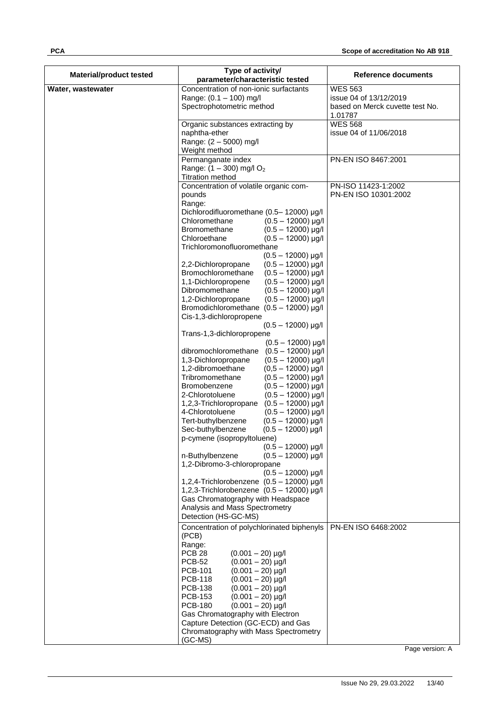| <b>Material/product tested</b> | Type of activity/<br>parameter/characteristic tested                                     | <b>Reference documents</b>               |
|--------------------------------|------------------------------------------------------------------------------------------|------------------------------------------|
|                                |                                                                                          |                                          |
| Water, wastewater              | Concentration of non-ionic surfactants                                                   | <b>WES 563</b><br>issue 04 of 13/12/2019 |
|                                | Range: (0.1 - 100) mg/l                                                                  | based on Merck cuvette test No.          |
|                                | Spectrophotometric method                                                                | 1.01787                                  |
|                                | Organic substances extracting by                                                         | <b>WES 568</b>                           |
|                                | naphtha-ether                                                                            | issue 04 of 11/06/2018                   |
|                                | Range: (2 - 5000) mg/l                                                                   |                                          |
|                                | Weight method                                                                            |                                          |
|                                | Permanganate index                                                                       | PN-EN ISO 8467:2001                      |
|                                | Range: $(1 - 300)$ mg/l O <sub>2</sub><br><b>Titration method</b>                        |                                          |
|                                | Concentration of volatile organic com-                                                   | PN-ISO 11423-1:2002                      |
|                                | pounds                                                                                   | PN-EN ISO 10301:2002                     |
|                                | Range:                                                                                   |                                          |
|                                | Dichlorodifluoromethane (0.5-12000) µg/l                                                 |                                          |
|                                | Chloromethane<br>$(0.5 - 12000)$ µg/l                                                    |                                          |
|                                | <b>Bromomethane</b><br>$(0.5 - 12000)$ µg/l<br>Chloroethane                              |                                          |
|                                | $(0.5 - 12000)$ µg/l<br>Trichloromonofluoromethane                                       |                                          |
|                                | $(0.5 - 12000)$ µg/l                                                                     |                                          |
|                                | 2,2-Dichloropropane<br>$(0.5 - 12000)$ µg/l                                              |                                          |
|                                | Bromochloromethane<br>$(0.5 - 12000)$ µg/l                                               |                                          |
|                                | $(0.5 - 12000)$ µg/l<br>1,1-Dichloropropene                                              |                                          |
|                                | Dibromomethane<br>$(0.5 - 12000)$ µg/l                                                   |                                          |
|                                | 1,2-Dichloropropane<br>$(0.5 - 12000)$ µg/l<br>Bromodichloromethane $(0.5 - 12000)$ µg/l |                                          |
|                                | Cis-1,3-dichloropropene                                                                  |                                          |
|                                | $(0.5 - 12000)$ µg/l                                                                     |                                          |
|                                | Trans-1,3-dichloropropene                                                                |                                          |
|                                | $(0.5 - 12000)$ µg/l                                                                     |                                          |
|                                | dibromochloromethane<br>$(0.5 - 12000)$ µg/l                                             |                                          |
|                                | 1,3-Dichloropropane<br>$(0.5 - 12000)$ µg/l<br>1,2-dibromoethane<br>$(0,5 - 12000)$ µg/l |                                          |
|                                | Tribromomethane<br>$(0.5 - 12000)$ µg/l                                                  |                                          |
|                                | Bromobenzene<br>$(0.5 - 12000)$ µg/l                                                     |                                          |
|                                | 2-Chlorotoluene<br>$(0.5 - 12000)$ µg/l                                                  |                                          |
|                                | 1,2,3-Trichloropropane<br>$(0.5 - 12000)$ µg/l                                           |                                          |
|                                | 4-Chlorotoluene<br>$(0.5 - 12000)$ µg/l                                                  |                                          |
|                                | Tert-buthylbenzene<br>$(0.5 - 12000)$ µg/l<br>Sec-buthylbenzene<br>$(0.5 - 12000)$ µg/l  |                                          |
|                                | p-cymene (isopropyltoluene)                                                              |                                          |
|                                | $(0.5 - 12000)$ µg/l                                                                     |                                          |
|                                | n-Buthylbenzene<br>$(0.5 - 12000)$ µg/l                                                  |                                          |
|                                | 1,2-Dibromo-3-chloropropane                                                              |                                          |
|                                | $(0.5 - 12000)$ µg/l                                                                     |                                          |
|                                | 1,2,4-Trichlorobenzene $(0.5 - 12000)$ µg/l<br>1,2,3-Trichlorobenzene (0.5 - 12000) µg/l |                                          |
|                                | Gas Chromatography with Headspace                                                        |                                          |
|                                | Analysis and Mass Spectrometry                                                           |                                          |
|                                | Detection (HS-GC-MS)                                                                     |                                          |
|                                | Concentration of polychlorinated biphenyls                                               | PN-EN ISO 6468:2002                      |
|                                | (PCB)                                                                                    |                                          |
|                                | Range:                                                                                   |                                          |
|                                | <b>PCB 28</b><br>$(0.001 - 20)$ µg/l<br><b>PCB-52</b><br>$(0.001 - 20)$ µg/l             |                                          |
|                                | PCB-101<br>$(0.001 - 20)$ µg/l                                                           |                                          |
|                                | <b>PCB-118</b><br>$(0.001 - 20)$ µg/l                                                    |                                          |
|                                | <b>PCB-138</b><br>$(0.001 - 20)$ µg/l                                                    |                                          |
|                                | <b>PCB-153</b><br>$(0.001 - 20)$ µg/l                                                    |                                          |
|                                | <b>PCB-180</b><br>$(0.001 - 20)$ µg/l                                                    |                                          |
|                                | Gas Chromatography with Electron<br>Capture Detection (GC-ECD) and Gas                   |                                          |
|                                | Chromatography with Mass Spectrometry                                                    |                                          |
|                                | (GC-MS)                                                                                  |                                          |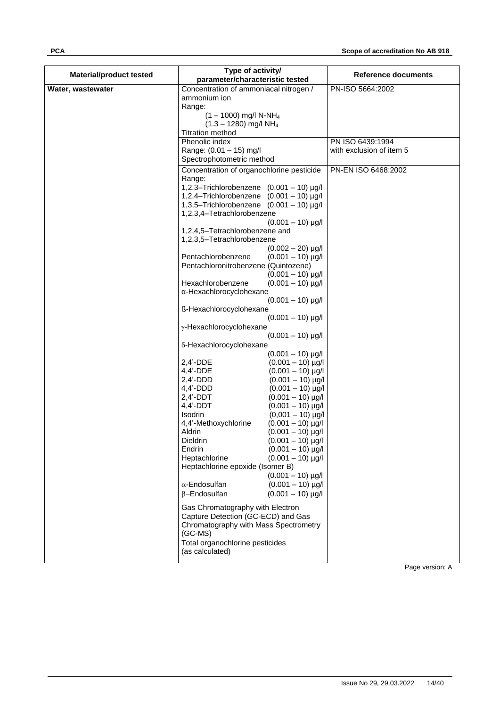| <b>Material/product tested</b> | Type of activity/<br>parameter/characteristic tested                                     | Reference documents      |
|--------------------------------|------------------------------------------------------------------------------------------|--------------------------|
| Water, wastewater              | Concentration of ammoniacal nitrogen /                                                   | PN-ISO 5664:2002         |
|                                | ammonium ion                                                                             |                          |
|                                | Range:                                                                                   |                          |
|                                | $(1 - 1000)$ mg/l N-NH <sub>4</sub><br>$(1.3 - 1280)$ mg/l NH <sub>4</sub>               |                          |
|                                | <b>Titration method</b>                                                                  |                          |
|                                | Phenolic index                                                                           | PN ISO 6439:1994         |
|                                | Range: (0.01 - 15) mg/l                                                                  | with exclusion of item 5 |
|                                | Spectrophotometric method                                                                |                          |
|                                | Concentration of organochlorine pesticide                                                | PN-EN ISO 6468:2002      |
|                                | Range:                                                                                   |                          |
|                                | 1,2,3-Trichlorobenzene $(0.001 - 10)$ µg/l<br>1,2,4-Trichlorobenzene $(0.001 - 10)$ µg/l |                          |
|                                | 1,3,5-Trichlorobenzene $(0.001 - 10)$ µg/l                                               |                          |
|                                | 1,2,3,4-Tetrachlorobenzene                                                               |                          |
|                                | $(0.001 - 10)$ µg/l                                                                      |                          |
|                                | 1,2,4,5-Tetrachlorobenzene and                                                           |                          |
|                                | 1,2,3,5-Tetrachlorobenzene                                                               |                          |
|                                | $(0.002 - 20)$ µg/l<br>Pentachlorobenzene<br>$(0.001 - 10)$ µg/l                         |                          |
|                                | Pentachloronitrobenzene (Quintozene)                                                     |                          |
|                                | $(0.001 - 10)$ µg/l                                                                      |                          |
|                                | Hexachlorobenzene<br>$(0.001 - 10)$ µg/l                                                 |                          |
|                                | α-Hexachlorocyclohexane                                                                  |                          |
|                                | $(0.001 - 10)$ µg/l                                                                      |                          |
|                                | ß-Hexachlorocyclohexane<br>$(0.001 - 10)$ µg/l                                           |                          |
|                                | γ-Hexachlorocyclohexane                                                                  |                          |
|                                | $(0.001 - 10)$ µg/l                                                                      |                          |
|                                | δ-Hexachlorocyclohexane                                                                  |                          |
|                                | $(0.001 - 10)$ µg/l                                                                      |                          |
|                                | $2,4'$ -DDE<br>$(0.001 - 10)$ µg/l                                                       |                          |
|                                | $4,4'$ -DDE<br>$(0.001 - 10)$ µg/l                                                       |                          |
|                                | $2,4'$ -DDD<br>$(0.001 - 10)$ µg/l<br>$4,4'$ -DDD<br>$(0.001 - 10)$ µg/l                 |                          |
|                                | $2,4'$ -DDT<br>$(0.001 - 10)$ µg/l                                                       |                          |
|                                | $4,4'$ -DDT<br>$(0.001 - 10)$ µg/l                                                       |                          |
|                                | Isodrin<br>$(0,001 - 10)$ µg/l                                                           |                          |
|                                | 4,4'-Methoxychlorine<br>$(0.001 - 10)$ µg/l                                              |                          |
|                                | Aldrin<br>$(0.001 - 10)$ µg/l<br>Dieldrin<br>$(0.001 - 10)$ µg/l                         |                          |
|                                | Endrin<br>$(0.001 - 10)$ µg/l                                                            |                          |
|                                | $(0.001 - 10)$ µg/l<br>Heptachlorine                                                     |                          |
|                                | Heptachlorine epoxide (Isomer B)                                                         |                          |
|                                | $(0.001 - 10)$ µg/l                                                                      |                          |
|                                | $\alpha$ -Endosulfan<br>$(0.001 - 10)$ µg/l                                              |                          |
|                                | $\beta$ -Endosulfan<br>$(0.001 - 10)$ µg/l                                               |                          |
|                                | Gas Chromatography with Electron                                                         |                          |
|                                | Capture Detection (GC-ECD) and Gas                                                       |                          |
|                                | Chromatography with Mass Spectrometry                                                    |                          |
|                                | $(GC-MS)$<br>Total organochlorine pesticides                                             |                          |
|                                | (as calculated)                                                                          |                          |
|                                |                                                                                          |                          |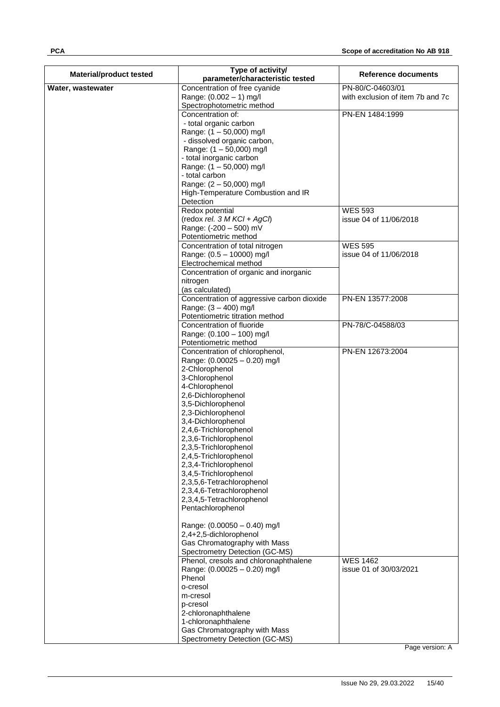| <b>Material/product tested</b> | Type of activity/                                      | <b>Reference documents</b>               |
|--------------------------------|--------------------------------------------------------|------------------------------------------|
|                                | parameter/characteristic tested                        |                                          |
| Water, wastewater              | Concentration of free cyanide                          | PN-80/C-04603/01                         |
|                                | Range: (0.002 - 1) mg/l<br>Spectrophotometric method   | with exclusion of item 7b and 7c         |
|                                | Concentration of:                                      | PN-EN 1484:1999                          |
|                                | - total organic carbon                                 |                                          |
|                                | Range: (1 - 50,000) mg/l                               |                                          |
|                                | - dissolved organic carbon,                            |                                          |
|                                | Range: (1 - 50,000) mg/l                               |                                          |
|                                | - total inorganic carbon                               |                                          |
|                                | Range: (1 - 50,000) mg/l                               |                                          |
|                                | - total carbon                                         |                                          |
|                                | Range: (2 - 50,000) mg/l                               |                                          |
|                                | High-Temperature Combustion and IR                     |                                          |
|                                | Detection                                              |                                          |
|                                | Redox potential<br>(redox rel. $3$ M KCl + AgCl)       | <b>WES 593</b><br>issue 04 of 11/06/2018 |
|                                | Range: (-200 - 500) mV                                 |                                          |
|                                | Potentiometric method                                  |                                          |
|                                | Concentration of total nitrogen                        | <b>WES 595</b>                           |
|                                | Range: (0.5 - 10000) mg/l                              | issue 04 of 11/06/2018                   |
|                                | Electrochemical method                                 |                                          |
|                                | Concentration of organic and inorganic                 |                                          |
|                                | nitrogen                                               |                                          |
|                                | (as calculated)                                        |                                          |
|                                | Concentration of aggressive carbon dioxide             | PN-EN 13577:2008                         |
|                                | Range: (3 - 400) mg/l                                  |                                          |
|                                | Potentiometric titration method                        |                                          |
|                                | Concentration of fluoride<br>Range: (0.100 - 100) mg/l | PN-78/C-04588/03                         |
|                                | Potentiometric method                                  |                                          |
|                                | Concentration of chlorophenol,                         | PN-EN 12673:2004                         |
|                                | Range: (0.00025 - 0.20) mg/l                           |                                          |
|                                | 2-Chlorophenol                                         |                                          |
|                                | 3-Chlorophenol                                         |                                          |
|                                | 4-Chlorophenol                                         |                                          |
|                                | 2,6-Dichlorophenol                                     |                                          |
|                                | 3,5-Dichlorophenol<br>2,3-Dichlorophenol               |                                          |
|                                | 3,4-Dichlorophenol                                     |                                          |
|                                | 2,4,6-Trichlorophenol                                  |                                          |
|                                | 2,3,6-Trichlorophenol                                  |                                          |
|                                | 2,3,5-Trichlorophenol                                  |                                          |
|                                | 2,4,5-Trichlorophenol                                  |                                          |
|                                | 2,3,4-Trichlorophenol                                  |                                          |
|                                | 3,4,5-Trichlorophenol                                  |                                          |
|                                | 2,3,5,6-Tetrachlorophenol                              |                                          |
|                                | 2,3,4,6-Tetrachlorophenol                              |                                          |
|                                | 2,3,4,5-Tetrachlorophenol<br>Pentachlorophenol         |                                          |
|                                |                                                        |                                          |
|                                | Range: (0.00050 - 0.40) mg/l                           |                                          |
|                                | 2,4+2,5-dichlorophenol                                 |                                          |
|                                | Gas Chromatography with Mass                           |                                          |
|                                | Spectrometry Detection (GC-MS)                         |                                          |
|                                | Phenol, cresols and chloronaphthalene                  | <b>WES 1462</b>                          |
|                                | Range: (0.00025 - 0.20) mg/l                           | issue 01 of 30/03/2021                   |
|                                | Phenol<br>o-cresol                                     |                                          |
|                                | m-cresol                                               |                                          |
|                                | p-cresol                                               |                                          |
|                                | 2-chloronaphthalene                                    |                                          |
|                                | 1-chloronaphthalene                                    |                                          |
|                                | Gas Chromatography with Mass                           |                                          |
|                                | Spectrometry Detection (GC-MS)                         |                                          |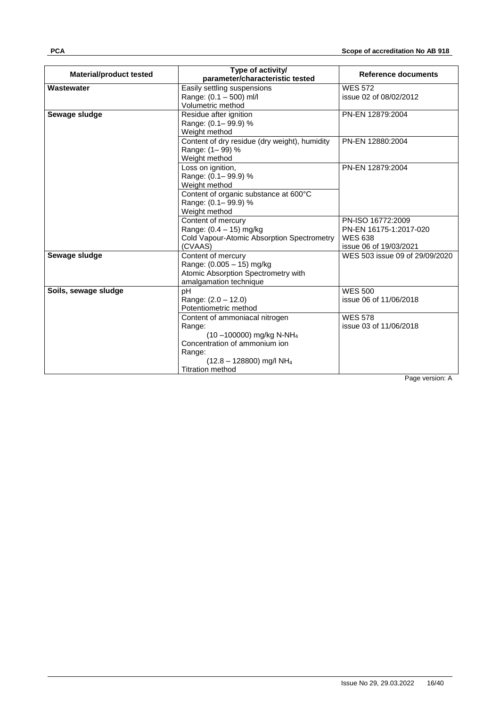| <b>Material/product tested</b> | Type of activity/<br>parameter/characteristic tested                  | Reference documents                      |
|--------------------------------|-----------------------------------------------------------------------|------------------------------------------|
| <b>Wastewater</b>              | Easily settling suspensions                                           | <b>WES 572</b>                           |
|                                | Range: (0.1 - 500) ml/l                                               | issue 02 of 08/02/2012                   |
|                                | Volumetric method                                                     |                                          |
| Sewage sludge                  | Residue after ignition                                                | PN-EN 12879:2004                         |
|                                | Range: (0.1 - 99.9) %                                                 |                                          |
|                                | Weight method                                                         |                                          |
|                                | Content of dry residue (dry weight), humidity                         | PN-EN 12880:2004                         |
|                                | Range: (1-99) %                                                       |                                          |
|                                | Weight method                                                         |                                          |
|                                | Loss on ignition,                                                     | PN-EN 12879:2004                         |
|                                | Range: (0.1-99.9) %                                                   |                                          |
|                                | Weight method                                                         |                                          |
|                                | Content of organic substance at 600°C                                 |                                          |
|                                | Range: (0.1-99.9) %                                                   |                                          |
|                                | Weight method                                                         |                                          |
|                                | Content of mercury                                                    | PN-ISO 16772:2009                        |
|                                | Range: (0.4 - 15) mg/kg<br>Cold Vapour-Atomic Absorption Spectrometry | PN-EN 16175-1:2017-020<br><b>WES 638</b> |
|                                | (CVAAS)                                                               | issue 06 of 19/03/2021                   |
| Sewage sludge                  | Content of mercury                                                    | WES 503 issue 09 of 29/09/2020           |
|                                | Range: (0.005 - 15) mg/kg                                             |                                          |
|                                | Atomic Absorption Spectrometry with                                   |                                          |
|                                | amalgamation technique                                                |                                          |
| Soils, sewage sludge           | рH                                                                    | <b>WES 500</b>                           |
|                                | Range: (2.0 - 12.0)                                                   | issue 06 of 11/06/2018                   |
|                                | Potentiometric method                                                 |                                          |
|                                | Content of ammoniacal nitrogen                                        | <b>WES 578</b>                           |
|                                | Range:                                                                | issue 03 of 11/06/2018                   |
|                                | $(10 - 100000)$ mg/kg N-NH <sub>4</sub>                               |                                          |
|                                | Concentration of ammonium ion                                         |                                          |
|                                | Range:                                                                |                                          |
|                                | $(12.8 - 128800)$ mg/l NH <sub>4</sub>                                |                                          |
|                                | <b>Titration method</b>                                               |                                          |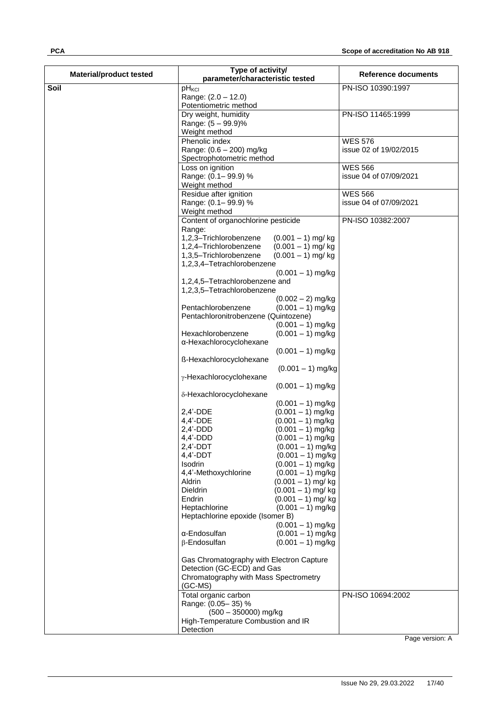| Type of activity/<br><b>Material/product tested</b><br>parameter/characteristic tested | <b>Reference documents</b> |
|----------------------------------------------------------------------------------------|----------------------------|
| Soil<br>pH <sub>KCI</sub><br>PN-ISO 10390:1997                                         |                            |
| Range: (2.0 - 12.0)                                                                    |                            |
| Potentiometric method                                                                  |                            |
| Dry weight, humidity<br>PN-ISO 11465:1999                                              |                            |
| Range: (5 - 99.9)%                                                                     |                            |
| Weight method                                                                          |                            |
| Phenolic index<br><b>WES 576</b><br>Range: (0.6 - 200) mg/kg<br>issue 02 of 19/02/2015 |                            |
| Spectrophotometric method                                                              |                            |
| <b>WES 566</b><br>Loss on ignition                                                     |                            |
| Range: (0.1-99.9) %<br>issue 04 of 07/09/2021                                          |                            |
| Weight method                                                                          |                            |
| Residue after ignition<br><b>WES 566</b>                                               |                            |
| Range: (0.1-99.9) %<br>issue 04 of 07/09/2021                                          |                            |
| Weight method                                                                          |                            |
| Content of organochlorine pesticide<br>PN-ISO 10382:2007<br>Range:                     |                            |
| 1,2,3-Trichlorobenzene<br>$(0.001 - 1)$ mg/kg                                          |                            |
| 1,2,4-Trichlorobenzene<br>$(0.001 - 1)$ mg/kg                                          |                            |
| 1,3,5-Trichlorobenzene<br>$(0.001 - 1)$ mg/kg                                          |                            |
| 1,2,3,4-Tetrachlorobenzene                                                             |                            |
| $(0.001 - 1)$ mg/kg                                                                    |                            |
| 1,2,4,5-Tetrachlorobenzene and<br>1,2,3,5-Tetrachlorobenzene                           |                            |
| $(0.002 - 2)$ mg/kg                                                                    |                            |
| Pentachlorobenzene<br>$(0.001 - 1)$ mg/kg                                              |                            |
| Pentachloronitrobenzene (Quintozene)                                                   |                            |
| $(0.001 - 1)$ mg/kg                                                                    |                            |
| Hexachlorobenzene<br>$(0.001 - 1)$ mg/kg                                               |                            |
| α-Hexachlorocyclohexane<br>$(0.001 - 1)$ mg/kg                                         |                            |
| ß-Hexachlorocyclohexane                                                                |                            |
| $(0.001 - 1)$ mg/kg                                                                    |                            |
| y-Hexachlorocyclohexane                                                                |                            |
| $(0.001 - 1)$ mg/kg                                                                    |                            |
| δ-Hexachlorocyclohexane                                                                |                            |
| $(0.001 - 1)$ mg/kg<br>$2,4'$ -DDE<br>$(0.001 - 1)$ mg/kg                              |                            |
| $4,4'$ -DDE<br>$(0.001 - 1)$ mg/kg                                                     |                            |
| $2,4'$ -DDD<br>$(0.001 - 1)$ mg/kg                                                     |                            |
| $4,4'$ -DDD<br>$(0.001 - 1)$ mg/kg                                                     |                            |
| $2,4'$ -DDT<br>$(0.001 - 1)$ mg/kg                                                     |                            |
| $4,4'$ -DDT<br>$(0.001 - 1)$ mg/kg                                                     |                            |
| <b>Isodrin</b><br>$(0.001 - 1)$ mg/kg<br>4,4'-Methoxychlorine<br>$(0.001 - 1)$ mg/kg   |                            |
| $(0.001 - 1)$ mg/kg<br>Aldrin                                                          |                            |
| Dieldrin<br>$(0.001 - 1)$ mg/kg                                                        |                            |
| Endrin<br>$(0.001 - 1)$ mg/kg                                                          |                            |
| Heptachlorine<br>$(0.001 - 1)$ mg/kg                                                   |                            |
| Heptachlorine epoxide (Isomer B)<br>$(0.001 - 1)$ mg/kg                                |                            |
| α-Endosulfan<br>$(0.001 - 1)$ mg/kg                                                    |                            |
| β-Endosulfan<br>$(0.001 - 1)$ mg/kg                                                    |                            |
|                                                                                        |                            |
| Gas Chromatography with Electron Capture                                               |                            |
| Detection (GC-ECD) and Gas<br>Chromatography with Mass Spectrometry                    |                            |
| $(GC-MS)$                                                                              |                            |
| Total organic carbon<br>PN-ISO 10694:2002                                              |                            |
| Range: (0.05-35) %                                                                     |                            |
| (500 - 350000) mg/kg<br>High-Temperature Combustion and IR                             |                            |
| Detection                                                                              |                            |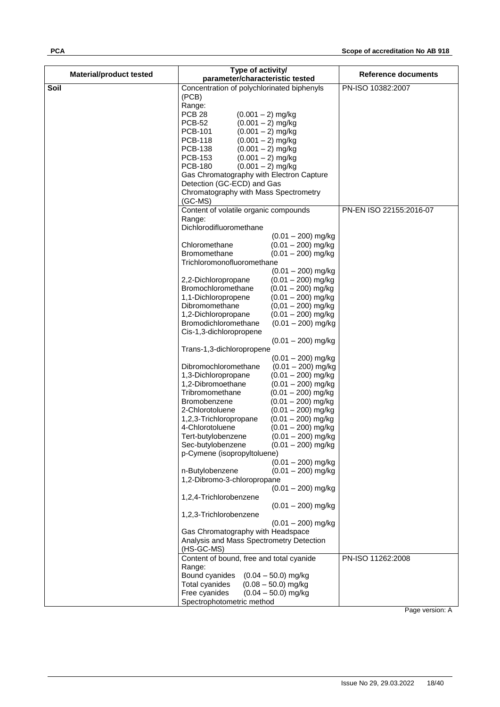| <b>Material/product tested</b> | Type of activity/<br>parameter/characteristic tested                                    | <b>Reference documents</b> |
|--------------------------------|-----------------------------------------------------------------------------------------|----------------------------|
| Soil                           | Concentration of polychlorinated biphenyls                                              | PN-ISO 10382:2007          |
|                                | (PCB)                                                                                   |                            |
|                                | Range:                                                                                  |                            |
|                                | <b>PCB 28</b><br>$(0.001 - 2)$ mg/kg                                                    |                            |
|                                | <b>PCB-52</b><br>$(0.001 - 2)$ mg/kg                                                    |                            |
|                                | <b>PCB-101</b><br>$(0.001 - 2)$ mg/kg                                                   |                            |
|                                | <b>PCB-118</b><br>$(0.001 - 2)$ mg/kg                                                   |                            |
|                                | <b>PCB-138</b><br>$(0.001 - 2)$ mg/kg                                                   |                            |
|                                | <b>PCB-153</b><br>$(0.001 - 2)$ mg/kg                                                   |                            |
|                                | <b>PCB-180</b><br>$(0.001 - 2)$ mg/kg<br>Gas Chromatography with Electron Capture       |                            |
|                                | Detection (GC-ECD) and Gas                                                              |                            |
|                                | Chromatography with Mass Spectrometry                                                   |                            |
|                                | $(GC-MS)$                                                                               |                            |
|                                | Content of volatile organic compounds                                                   | PN-EN ISO 22155:2016-07    |
|                                | Range:                                                                                  |                            |
|                                | Dichlorodifluoromethane                                                                 |                            |
|                                | $(0.01 - 200)$ mg/kg                                                                    |                            |
|                                | Chloromethane<br>$(0.01 - 200)$ mg/kg                                                   |                            |
|                                | <b>Bromomethane</b><br>$(0.01 - 200)$ mg/kg                                             |                            |
|                                | Trichloromonofluoromethane<br>$(0.01 - 200)$ mg/kg                                      |                            |
|                                | $(0.01 - 200)$ mg/kg<br>2,2-Dichloropropane                                             |                            |
|                                | Bromochloromethane<br>$(0.01 - 200)$ mg/kg                                              |                            |
|                                | 1,1-Dichloropropene<br>$(0.01 - 200)$ mg/kg                                             |                            |
|                                | Dibromomethane<br>$(0.01 - 200)$ mg/kg                                                  |                            |
|                                | $(0.01 - 200)$ mg/kg<br>1,2-Dichloropropane                                             |                            |
|                                | Bromodichloromethane<br>$(0.01 - 200)$ mg/kg                                            |                            |
|                                | Cis-1,3-dichloropropene                                                                 |                            |
|                                | $(0.01 - 200)$ mg/kg                                                                    |                            |
|                                | Trans-1,3-dichloropropene                                                               |                            |
|                                | $(0.01 - 200)$ mg/kg<br>Dibromochloromethane<br>$(0.01 - 200)$ mg/kg                    |                            |
|                                | 1,3-Dichloropropane<br>$(0.01 - 200)$ mg/kg                                             |                            |
|                                | 1,2-Dibromoethane<br>$(0.01 - 200)$ mg/kg                                               |                            |
|                                | Tribromomethane<br>$(0.01 - 200)$ mg/kg                                                 |                            |
|                                | Bromobenzene<br>$(0.01 - 200)$ mg/kg                                                    |                            |
|                                | 2-Chlorotoluene<br>$(0.01 - 200)$ mg/kg                                                 |                            |
|                                | $(0.01 - 200)$ mg/kg<br>1,2,3-Trichloropropane                                          |                            |
|                                | 4-Chlorotoluene<br>$(0.01 - 200)$ mg/kg                                                 |                            |
|                                | Tert-butylobenzene<br>$(0.01 - 200)$ mg/kg<br>Sec-butylobenzene<br>$(0.01 - 200)$ mg/kg |                            |
|                                | p-Cymene (isopropyltoluene)                                                             |                            |
|                                | $(0.01 - 200)$ mg/kg                                                                    |                            |
|                                | n-Butylobenzene<br>$(0.01 - 200)$ mg/kg                                                 |                            |
|                                | 1,2-Dibromo-3-chloropropane                                                             |                            |
|                                | $(0.01 - 200)$ mg/kg                                                                    |                            |
|                                | 1,2,4-Trichlorobenzene                                                                  |                            |
|                                | $(0.01 - 200)$ mg/kg                                                                    |                            |
|                                | 1,2,3-Trichlorobenzene<br>$(0.01 - 200)$ mg/kg                                          |                            |
|                                | Gas Chromatography with Headspace                                                       |                            |
|                                | Analysis and Mass Spectrometry Detection                                                |                            |
|                                | (HS-GC-MS)                                                                              |                            |
|                                | Content of bound, free and total cyanide                                                | PN-ISO 11262:2008          |
|                                | Range:                                                                                  |                            |
|                                | Bound cyanides<br>$(0.04 - 50.0)$ mg/kg                                                 |                            |
|                                | Total cyanides<br>$(0.08 - 50.0)$ mg/kg                                                 |                            |
|                                | Free cyanides<br>$(0.04 - 50.0)$ mg/kg                                                  |                            |
|                                | Spectrophotometric method                                                               |                            |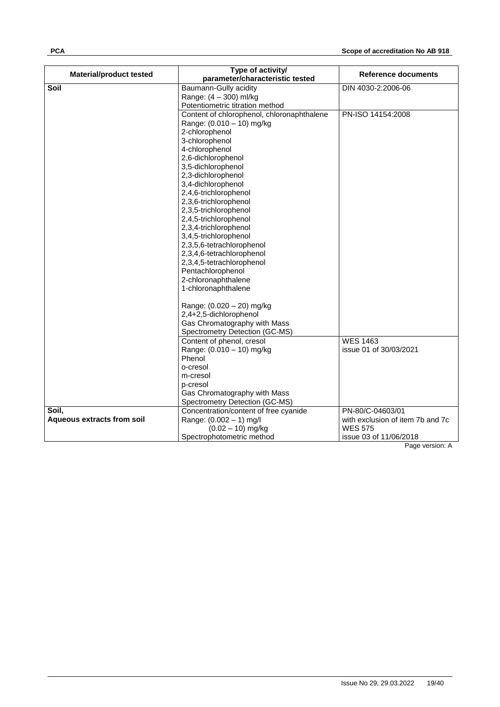| parameter/characteristic tested<br>Soil<br>Baumann-Gully acidity<br>DIN 4030-2:2006-06<br>Range: (4 - 300) ml/kg<br>Potentiometric titration method<br>Content of chlorophenol, chloronaphthalene<br>PN-ISO 14154:2008<br>Range: (0.010 - 10) mg/kg<br>2-chlorophenol<br>3-chlorophenol<br>4-chlorophenol<br>2,6-dichlorophenol<br>3,5-dichlorophenol |
|-------------------------------------------------------------------------------------------------------------------------------------------------------------------------------------------------------------------------------------------------------------------------------------------------------------------------------------------------------|
|                                                                                                                                                                                                                                                                                                                                                       |
|                                                                                                                                                                                                                                                                                                                                                       |
|                                                                                                                                                                                                                                                                                                                                                       |
|                                                                                                                                                                                                                                                                                                                                                       |
|                                                                                                                                                                                                                                                                                                                                                       |
|                                                                                                                                                                                                                                                                                                                                                       |
|                                                                                                                                                                                                                                                                                                                                                       |
|                                                                                                                                                                                                                                                                                                                                                       |
|                                                                                                                                                                                                                                                                                                                                                       |
|                                                                                                                                                                                                                                                                                                                                                       |
| 2,3-dichlorophenol                                                                                                                                                                                                                                                                                                                                    |
| 3,4-dichlorophenol                                                                                                                                                                                                                                                                                                                                    |
| 2,4,6-trichlorophenol                                                                                                                                                                                                                                                                                                                                 |
| 2,3,6-trichlorophenol                                                                                                                                                                                                                                                                                                                                 |
| 2,3,5-trichlorophenol                                                                                                                                                                                                                                                                                                                                 |
| 2,4,5-trichlorophenol                                                                                                                                                                                                                                                                                                                                 |
| 2,3,4-trichlorophenol                                                                                                                                                                                                                                                                                                                                 |
| 3,4,5-trichlorophenol                                                                                                                                                                                                                                                                                                                                 |
| 2,3,5,6-tetrachlorophenol                                                                                                                                                                                                                                                                                                                             |
| 2,3,4,6-tetrachlorophenol                                                                                                                                                                                                                                                                                                                             |
| 2,3,4,5-tetrachlorophenol                                                                                                                                                                                                                                                                                                                             |
| Pentachlorophenol                                                                                                                                                                                                                                                                                                                                     |
| 2-chloronaphthalene                                                                                                                                                                                                                                                                                                                                   |
| 1-chloronaphthalene                                                                                                                                                                                                                                                                                                                                   |
| Range: (0.020 - 20) mg/kg                                                                                                                                                                                                                                                                                                                             |
| 2,4+2,5-dichlorophenol                                                                                                                                                                                                                                                                                                                                |
| Gas Chromatography with Mass                                                                                                                                                                                                                                                                                                                          |
| Spectrometry Detection (GC-MS)                                                                                                                                                                                                                                                                                                                        |
| <b>WES 1463</b><br>Content of phenol, cresol                                                                                                                                                                                                                                                                                                          |
| Range: (0.010 - 10) mg/kg<br>issue 01 of 30/03/2021                                                                                                                                                                                                                                                                                                   |
| Phenol                                                                                                                                                                                                                                                                                                                                                |
| o-cresol                                                                                                                                                                                                                                                                                                                                              |
| m-cresol                                                                                                                                                                                                                                                                                                                                              |
| p-cresol                                                                                                                                                                                                                                                                                                                                              |
| Gas Chromatography with Mass                                                                                                                                                                                                                                                                                                                          |
| Spectrometry Detection (GC-MS)<br>PN-80/C-04603/01<br>Soil.<br>Concentration/content of free cyanide                                                                                                                                                                                                                                                  |
| <b>Aqueous extracts from soil</b><br>Range: (0.002 - 1) mg/l<br>with exclusion of item 7b and 7c                                                                                                                                                                                                                                                      |
| $(0.02 - 10)$ mg/kg<br><b>WES 575</b>                                                                                                                                                                                                                                                                                                                 |
| Spectrophotometric method<br>issue 03 of 11/06/2018                                                                                                                                                                                                                                                                                                   |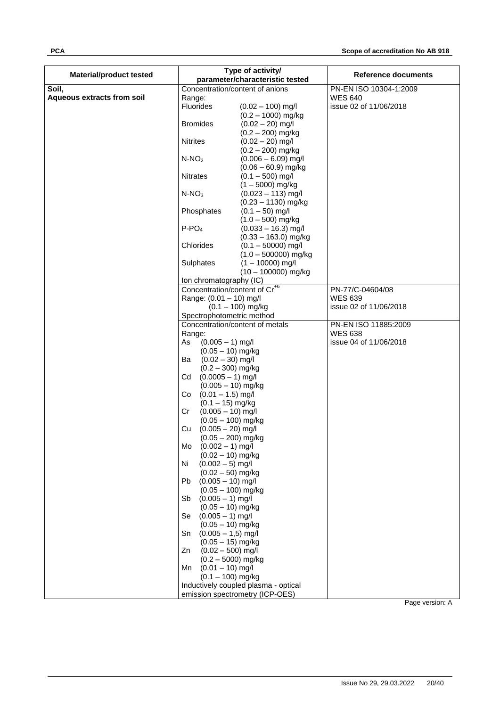| <b>Material/product tested</b> |                                                 | Type of activity/<br>parameter/characteristic tested | Reference documents    |
|--------------------------------|-------------------------------------------------|------------------------------------------------------|------------------------|
| Soil,                          | Concentration/content of anions                 |                                                      | PN-EN ISO 10304-1:2009 |
| Aqueous extracts from soil     | Range:                                          |                                                      | <b>WES 640</b>         |
|                                | Fluorides                                       | $(0.02 - 100)$ mg/l                                  | issue 02 of 11/06/2018 |
|                                |                                                 | $(0.2 - 1000)$ mg/kg                                 |                        |
|                                | <b>Bromides</b>                                 | $(0.02 - 20)$ mg/l                                   |                        |
|                                |                                                 | $(0.2 - 200)$ mg/kg                                  |                        |
|                                | <b>Nitrites</b>                                 | $(0.02 - 20)$ mg/l                                   |                        |
|                                |                                                 | $(0.2 - 200)$ mg/kg                                  |                        |
|                                | $N-NO2$                                         | $(0.006 - 6.09)$ mg/l                                |                        |
|                                |                                                 | $(0.06 - 60.9)$ mg/kg                                |                        |
|                                | <b>Nitrates</b>                                 | $(0.1 - 500)$ mg/l                                   |                        |
|                                |                                                 | $(1 - 5000)$ mg/kg                                   |                        |
|                                | $N-NO3$                                         | $(0.023 - 113)$ mg/l                                 |                        |
|                                |                                                 | $(0.23 - 1130)$ mg/kg                                |                        |
|                                | Phosphates                                      | $(0.1 - 50)$ mg/l                                    |                        |
|                                |                                                 | $(1.0 - 500)$ mg/kg                                  |                        |
|                                | $P-PO4$                                         | $(0.033 - 16.3)$ mg/l                                |                        |
|                                |                                                 | $(0.33 - 163.0)$ mg/kg                               |                        |
|                                | Chlorides                                       | $(0.1 - 50000)$ mg/l                                 |                        |
|                                |                                                 | $(1.0 - 500000)$ mg/kg                               |                        |
|                                | Sulphates                                       | $(1 - 10000)$ mg/l                                   |                        |
|                                |                                                 | $(10 - 100000)$ mg/kg                                |                        |
|                                | Ion chromatography (IC)                         |                                                      |                        |
|                                | Concentration/content of Cr <sup>+6</sup>       |                                                      | PN-77/C-04604/08       |
|                                | Range: (0.01 - 10) mg/l                         |                                                      | <b>WES 639</b>         |
|                                | $(0.1 - 100)$ mg/kg                             |                                                      | issue 02 of 11/06/2018 |
|                                | Spectrophotometric method                       |                                                      |                        |
|                                | Concentration/content of metals                 |                                                      | PN-EN ISO 11885:2009   |
|                                | Range:                                          |                                                      | <b>WES 638</b>         |
|                                | $(0.005 - 1)$ mg/l<br>As                        |                                                      | issue 04 of 11/06/2018 |
|                                | $(0.05 - 10)$ mg/kg                             |                                                      |                        |
|                                | $(0.02 - 30)$ mg/l<br>Ba                        |                                                      |                        |
|                                | $(0.2 - 300)$ mg/kg                             |                                                      |                        |
|                                | $(0.0005 - 1)$ mg/l<br>Cd                       |                                                      |                        |
|                                | $(0.005 - 10)$ mg/kg                            |                                                      |                        |
|                                | $(0.01 - 1.5)$ mg/l<br>Co                       |                                                      |                        |
|                                | $(0.1 - 15)$ mg/kg<br>$(0.005 - 10)$ mg/l<br>Cr |                                                      |                        |
|                                | $(0.05 - 100)$ mg/kg                            |                                                      |                        |
|                                | $(0.005 - 20)$ mg/l<br>Cu                       |                                                      |                        |
|                                | $(0.05 - 200)$ mg/kg                            |                                                      |                        |
|                                | $(0.002 - 1)$ mg/l<br>Mo                        |                                                      |                        |
|                                | $(0.02 - 10)$ mg/kg                             |                                                      |                        |
|                                | $(0.002 - 5)$ mg/l<br>Ni                        |                                                      |                        |
|                                | $(0.02 - 50)$ mg/kg                             |                                                      |                        |
|                                | $(0.005 - 10)$ mg/l<br>Pb                       |                                                      |                        |
|                                | $(0.05 - 100)$ mg/kg                            |                                                      |                        |
|                                | $(0.005 - 1)$ mg/l<br>Sb                        |                                                      |                        |
|                                | $(0.05 - 10)$ mg/kg                             |                                                      |                        |
|                                | $(0.005 - 1)$ mg/l<br>Se                        |                                                      |                        |
|                                | $(0.05 - 10)$ mg/kg                             |                                                      |                        |
|                                | $(0.005 - 1.5)$ mg/l<br>Sn                      |                                                      |                        |
|                                | $(0.05 - 15)$ mg/kg                             |                                                      |                        |
|                                | $(0.02 - 500)$ mg/l<br>Zn                       |                                                      |                        |
|                                | $(0.2 - 5000)$ mg/kg                            |                                                      |                        |
|                                | $(0.01 - 10)$ mg/l<br>Mn                        |                                                      |                        |
|                                | $(0.1 - 100)$ mg/kg                             |                                                      |                        |
|                                |                                                 | Inductively coupled plasma - optical                 |                        |
|                                | emission spectrometry (ICP-OES)                 |                                                      |                        |
|                                |                                                 |                                                      | Page version: A        |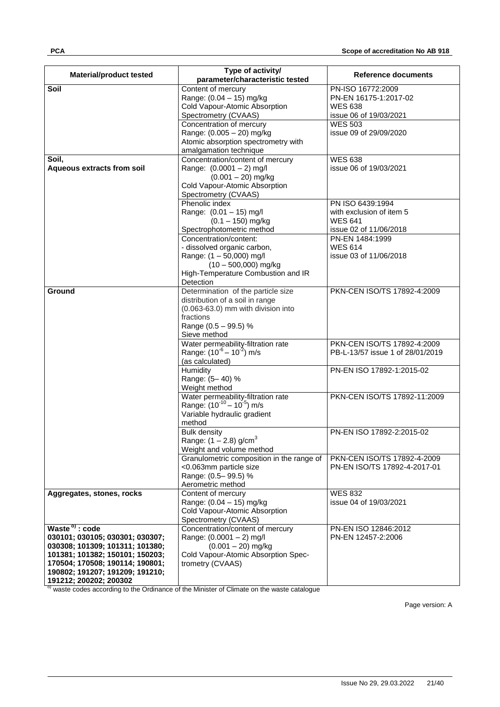| <b>Material/product tested</b>    | Type of activity/<br>parameter/characteristic tested                    | Reference documents              |
|-----------------------------------|-------------------------------------------------------------------------|----------------------------------|
| Soil                              | Content of mercury                                                      | PN-ISO 16772:2009                |
|                                   | Range: (0.04 - 15) mg/kg                                                | PN-EN 16175-1:2017-02            |
|                                   | Cold Vapour-Atomic Absorption                                           | <b>WES 638</b>                   |
|                                   | Spectrometry (CVAAS)                                                    | issue 06 of 19/03/2021           |
|                                   | Concentration of mercury                                                | <b>WES 503</b>                   |
|                                   | Range: (0.005 - 20) mg/kg                                               | issue 09 of 29/09/2020           |
|                                   | Atomic absorption spectrometry with                                     |                                  |
|                                   | amalgamation technique                                                  |                                  |
| Soil.                             | Concentration/content of mercury                                        | <b>WES 638</b>                   |
| <b>Aqueous extracts from soil</b> | Range: (0.0001 - 2) mg/l                                                | issue 06 of 19/03/2021           |
|                                   | $(0.001 - 20)$ mg/kg                                                    |                                  |
|                                   | Cold Vapour-Atomic Absorption                                           |                                  |
|                                   | Spectrometry (CVAAS)                                                    |                                  |
|                                   | Phenolic index                                                          | PN ISO 6439:1994                 |
|                                   | Range: (0.01 - 15) mg/l                                                 | with exclusion of item 5         |
|                                   | $(0.1 - 150)$ mg/kg                                                     | <b>WES 641</b>                   |
|                                   | Spectrophotometric method                                               | issue 02 of 11/06/2018           |
|                                   | Concentration/content:                                                  | PN-EN 1484:1999                  |
|                                   | - dissolved organic carbon,                                             | <b>WES 614</b>                   |
|                                   | Range: (1 - 50,000) mg/l                                                | issue 03 of 11/06/2018           |
|                                   | $(10 - 500,000)$ mg/kg                                                  |                                  |
|                                   | High-Temperature Combustion and IR                                      |                                  |
|                                   | Detection                                                               |                                  |
| Ground                            | Determination of the particle size                                      | PKN-CEN ISO/TS 17892-4:2009      |
|                                   | distribution of a soil in range                                         |                                  |
|                                   | (0.063-63.0) mm with division into                                      |                                  |
|                                   | fractions                                                               |                                  |
|                                   | Range (0.5 - 99.5) %                                                    |                                  |
|                                   | Sieve method                                                            |                                  |
|                                   | Water permeability-filtration rate                                      | PKN-CEN ISO/TS 17892-4:2009      |
|                                   | Range: (10 <sup>-6</sup> – 10 <sup>-2</sup> ) m/s                       | PB-L-13/57 issue 1 of 28/01/2019 |
|                                   | (as calculated)                                                         |                                  |
|                                   | Humidity                                                                | PN-EN ISO 17892-1:2015-02        |
|                                   | Range: (5-40) %                                                         |                                  |
|                                   | Weight method                                                           |                                  |
|                                   | Water permeability-filtration rate<br>Range: $(10^{-10} - 10^{-5})$ m/s | PKN-CEN ISO/TS 17892-11:2009     |
|                                   |                                                                         |                                  |
|                                   | Variable hydraulic gradient<br>method                                   |                                  |
|                                   | <b>Bulk density</b>                                                     | PN-EN ISO 17892-2:2015-02        |
|                                   | Range: $(1 - 2.8)$ g/cm <sup>3</sup>                                    |                                  |
|                                   | Weight and volume method                                                |                                  |
|                                   | Granulometric composition in the range of                               | PKN-CEN ISO/TS 17892-4-2009      |
|                                   | <0.063mm particle size                                                  | PN-EN ISO/TS 17892-4-2017-01     |
|                                   | Range: (0.5-99.5) %                                                     |                                  |
|                                   | Aerometric method                                                       |                                  |
| Aggregates, stones, rocks         | Content of mercury                                                      | <b>WES 832</b>                   |
|                                   | Range: (0.04 - 15) mg/kg                                                | issue 04 of 19/03/2021           |
|                                   | Cold Vapour-Atomic Absorption                                           |                                  |
|                                   | Spectrometry (CVAAS)                                                    |                                  |
| Waste <sup>o</sup> : code         | Concentration/content of mercury                                        | PN-EN ISO 12846:2012             |
| 030101; 030105; 030301; 030307;   | Range: (0.0001 - 2) mg/l                                                | PN-EN 12457-2:2006               |
| 030308; 101309; 101311; 101380;   | $(0.001 - 20)$ mg/kg                                                    |                                  |
| 101381; 101382; 150101; 150203;   | Cold Vapour-Atomic Absorption Spec-                                     |                                  |
| 170504; 170508; 190114; 190801;   | trometry (CVAAS)                                                        |                                  |
| 190802; 191207; 191209; 191210;   |                                                                         |                                  |
| 191212; 200202; 200302            |                                                                         |                                  |

<sup>o)</sup> waste codes according to the Ordinance of the Minister of Climate on the waste catalogue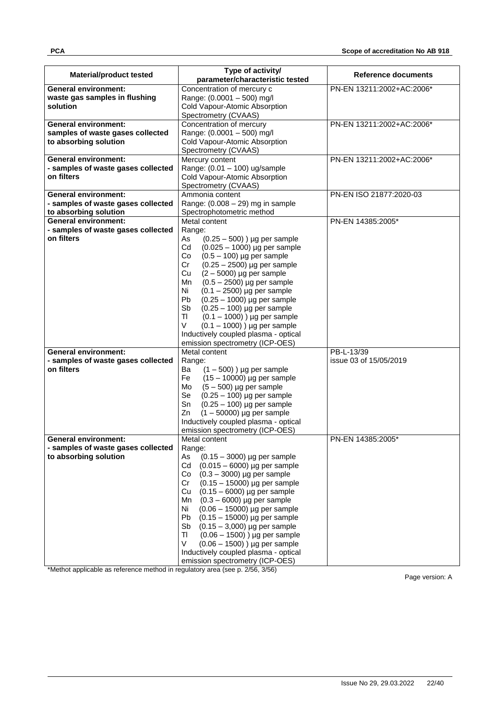|                                    | Type of activity/                     |                           |
|------------------------------------|---------------------------------------|---------------------------|
| <b>Material/product tested</b>     | parameter/characteristic tested       | Reference documents       |
| <b>General environment:</b>        | Concentration of mercury c            | PN-EN 13211:2002+AC:2006* |
| waste gas samples in flushing      | Range: (0.0001 - 500) mg/l            |                           |
| solution                           | Cold Vapour-Atomic Absorption         |                           |
|                                    | Spectrometry (CVAAS)                  |                           |
| <b>General environment:</b>        | Concentration of mercury              | PN-EN 13211:2002+AC:2006* |
| samples of waste gases collected   | Range: (0.0001 - 500) mg/l            |                           |
| to absorbing solution              | Cold Vapour-Atomic Absorption         |                           |
|                                    | Spectrometry (CVAAS)                  |                           |
| <b>General environment:</b>        | Mercury content                       | PN-EN 13211:2002+AC:2006* |
| - samples of waste gases collected | Range: (0.01 - 100) ug/sample         |                           |
| on filters                         | Cold Vapour-Atomic Absorption         |                           |
|                                    | Spectrometry (CVAAS)                  |                           |
| <b>General environment:</b>        | Ammonia content                       | PN-EN ISO 21877:2020-03   |
| - samples of waste gases collected | Range: $(0.008 - 29)$ mg in sample    |                           |
| to absorbing solution              | Spectrophotometric method             |                           |
| <b>General environment:</b>        | Metal content                         | PN-EN 14385:2005*         |
| - samples of waste gases collected | Range:                                |                           |
| on filters                         | As<br>$(0.25 - 500)$ ) µg per sample  |                           |
|                                    | Cd                                    |                           |
|                                    | $(0.025 - 1000)$ µg per sample        |                           |
|                                    | $(0.5 - 100)$ µg per sample<br>Co     |                           |
|                                    | $(0.25 - 2500)$ µg per sample<br>Cr   |                           |
|                                    | $(2 - 5000)$ µg per sample<br>Cu      |                           |
|                                    | Mn<br>$(0.5 - 2500)$ µg per sample    |                           |
|                                    | Ni<br>$(0.1 - 2500)$ µg per sample    |                           |
|                                    | Pb<br>$(0.25 - 1000)$ µg per sample   |                           |
|                                    | Sb<br>$(0.25 - 100)$ µg per sample    |                           |
|                                    | TI<br>$(0.1 - 1000)$ ) µg per sample  |                           |
|                                    | V<br>$(0.1 - 1000)$ ) µg per sample   |                           |
|                                    | Inductively coupled plasma - optical  |                           |
|                                    | emission spectrometry (ICP-OES)       |                           |
| <b>General environment:</b>        | Metal content                         | PB-L-13/39                |
| - samples of waste gases collected | Range:                                | issue 03 of 15/05/2019    |
| on filters                         | $(1 - 500)$ ) µg per sample<br>Ba     |                           |
|                                    | $(15 - 10000)$ µg per sample<br>Fe    |                           |
|                                    | $(5 - 500)$ µg per sample<br>Mo       |                           |
|                                    | Se<br>$(0.25 - 100)$ µg per sample    |                           |
|                                    | $(0.25 - 100)$ µg per sample<br>Sn    |                           |
|                                    | $(1 - 50000)$ µg per sample<br>Zn     |                           |
|                                    | Inductively coupled plasma - optical  |                           |
|                                    | emission spectrometry (ICP-OES)       |                           |
| <b>General environment:</b>        | Metal content                         | PN-EN 14385:2005*         |
| - samples of waste gases collected | Range:                                |                           |
| to absorbing solution              | As<br>$(0.15 - 3000)$ µg per sample   |                           |
|                                    | Cd<br>$(0.015 - 6000)$ µg per sample  |                           |
|                                    | $(0.3 - 3000)$ µg per sample<br>Co    |                           |
|                                    | Cr<br>$(0.15 - 15000)$ µg per sample  |                           |
|                                    | $(0.15 - 6000)$ µg per sample<br>Cu   |                           |
|                                    | $(0.3 - 6000)$ µg per sample<br>Mn    |                           |
|                                    | Ni<br>$(0.06 - 15000)$ µg per sample  |                           |
|                                    | Pb<br>$(0.15 - 15000)$ µg per sample  |                           |
|                                    | Sb<br>$(0.15 - 3,000)$ µg per sample  |                           |
|                                    | $(0.06 - 1500)$ ) µg per sample<br>TI |                           |
|                                    | V                                     |                           |
|                                    | $(0.06 - 1500)$ ) µg per sample       |                           |
|                                    | Inductively coupled plasma - optical  |                           |
|                                    | emission spectrometry (ICP-OES)       |                           |

\*Methot applicable as reference method in regulatory area (see p. 2/56, 3/56)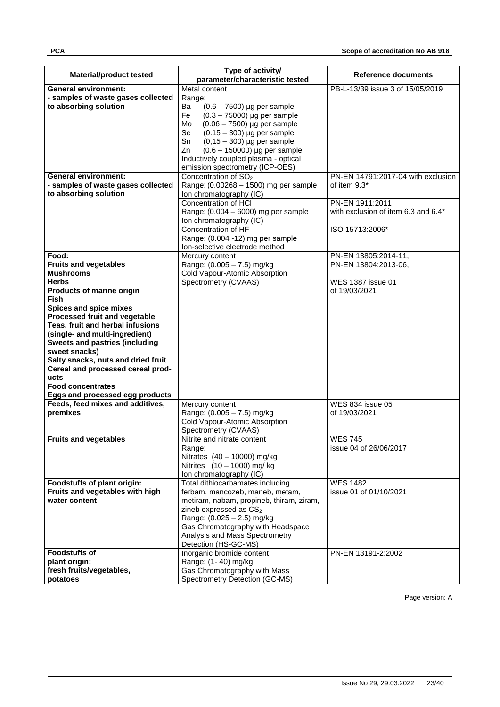| <b>Material/product tested</b>                                    | Type of activity/<br>parameter/characteristic tested                    | Reference documents                      |
|-------------------------------------------------------------------|-------------------------------------------------------------------------|------------------------------------------|
| <b>General environment:</b>                                       | Metal content                                                           | PB-L-13/39 issue 3 of 15/05/2019         |
| - samples of waste gases collected                                | Range:                                                                  |                                          |
| to absorbing solution                                             | Ba<br>$(0.6 - 7500)$ µg per sample                                      |                                          |
|                                                                   | $(0.3 - 75000)$ µg per sample<br>Fe                                     |                                          |
|                                                                   | $(0.06 - 7500)$ µg per sample<br>Mo                                     |                                          |
|                                                                   | <b>Se</b><br>$(0.15 - 300)$ µg per sample                               |                                          |
|                                                                   | Sn<br>$(0, 15 - 300)$ µg per sample                                     |                                          |
|                                                                   | Zn<br>$(0.6 - 150000)$ µg per sample                                    |                                          |
|                                                                   | Inductively coupled plasma - optical<br>emission spectrometry (ICP-OES) |                                          |
| <b>General environment:</b>                                       | Concentration of SO <sub>2</sub>                                        | PN-EN 14791:2017-04 with exclusion       |
| - samples of waste gases collected                                | Range: (0.00268 - 1500) mg per sample                                   | of item $9.3*$                           |
| to absorbing solution                                             | Ion chromatography (IC)                                                 |                                          |
|                                                                   | Concentration of HCI                                                    | PN-EN 1911:2011                          |
|                                                                   | Range: (0.004 - 6000) mg per sample                                     | with exclusion of item 6.3 and 6.4*      |
|                                                                   | Ion chromatography (IC)                                                 |                                          |
|                                                                   | Concentration of HF<br>Range: (0.004 -12) mg per sample                 | ISO 15713:2006*                          |
|                                                                   | Ion-selective electrode method                                          |                                          |
| Food:                                                             | Mercury content                                                         | PN-EN 13805:2014-11,                     |
| <b>Fruits and vegetables</b>                                      | Range: (0.005 - 7.5) mg/kg                                              | PN-EN 13804:2013-06,                     |
| <b>Mushrooms</b>                                                  | Cold Vapour-Atomic Absorption                                           |                                          |
| <b>Herbs</b>                                                      | Spectrometry (CVAAS)                                                    | WES 1387 issue 01                        |
| Products of marine origin                                         |                                                                         | of 19/03/2021                            |
| <b>Fish</b>                                                       |                                                                         |                                          |
| Spices and spice mixes                                            |                                                                         |                                          |
| Processed fruit and vegetable<br>Teas, fruit and herbal infusions |                                                                         |                                          |
| (single- and multi-ingredient)                                    |                                                                         |                                          |
| <b>Sweets and pastries (including</b>                             |                                                                         |                                          |
| sweet snacks)                                                     |                                                                         |                                          |
| Salty snacks, nuts and dried fruit                                |                                                                         |                                          |
| Cereal and processed cereal prod-                                 |                                                                         |                                          |
| ucts                                                              |                                                                         |                                          |
| <b>Food concentrates</b>                                          |                                                                         |                                          |
| Eggs and processed egg products                                   |                                                                         |                                          |
| Feeds, feed mixes and additives,<br>premixes                      | Mercury content<br>Range: (0.005 - 7.5) mg/kg                           | <b>WES 834 issue 05</b><br>of 19/03/2021 |
|                                                                   | Cold Vapour-Atomic Absorption                                           |                                          |
|                                                                   | Spectrometry (CVAAS)                                                    |                                          |
| <b>Fruits and vegetables</b>                                      | Nitrite and nitrate content                                             | <b>WES 745</b>                           |
|                                                                   | Range:                                                                  | issue 04 of 26/06/2017                   |
|                                                                   | Nitrates (40 - 10000) mg/kg                                             |                                          |
|                                                                   | Nitrites (10 - 1000) mg/ kg                                             |                                          |
|                                                                   | Ion chromatography (IC)                                                 |                                          |
| Foodstuffs of plant origin:                                       | Total dithiocarbamates including                                        | <b>WES 1482</b>                          |
| Fruits and vegetables with high<br>water content                  | ferbam, mancozeb, maneb, metam,                                         | issue 01 of 01/10/2021                   |
|                                                                   | metiram, nabam, propineb, thiram, ziram,<br>zineb expressed as CS2      |                                          |
|                                                                   | Range: (0.025 - 2.5) mg/kg                                              |                                          |
|                                                                   | Gas Chromatography with Headspace                                       |                                          |
|                                                                   | Analysis and Mass Spectrometry                                          |                                          |
|                                                                   | Detection (HS-GC-MS)                                                    |                                          |
| <b>Foodstuffs of</b>                                              | Inorganic bromide content                                               | PN-EN 13191-2:2002                       |
| plant origin:                                                     | Range: (1-40) mg/kg                                                     |                                          |
| fresh fruits/vegetables,                                          | Gas Chromatography with Mass                                            |                                          |
| potatoes                                                          | Spectrometry Detection (GC-MS)                                          |                                          |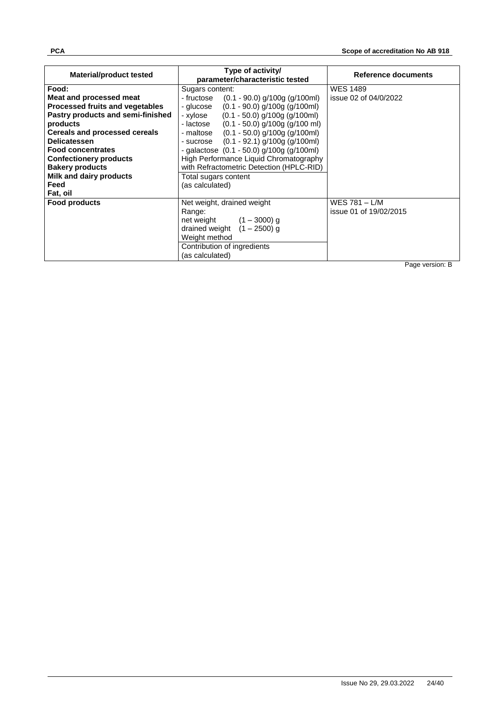| <b>Material/product tested</b>       | Type of activity/<br>parameter/characteristic tested | Reference documents    |  |
|--------------------------------------|------------------------------------------------------|------------------------|--|
| Food:                                | Sugars content:                                      | <b>WES 1489</b>        |  |
| Meat and processed meat              | (0.1 - 90.0) g/100g (g/100ml)<br>- fructose          | issue 02 of 04/0/2022  |  |
| Processed fruits and vegetables      | $(0.1 - 90.0)$ g/100g (g/100ml)<br>- glucose         |                        |  |
| Pastry products and semi-finished    | $(0.1 - 50.0)$ g/100g (g/100ml)<br>- xylose          |                        |  |
| products                             | $(0.1 - 50.0)$ g/100g (g/100 ml)<br>- lactose        |                        |  |
| <b>Cereals and processed cereals</b> | $(0.1 - 50.0)$ g/100g (g/100ml)<br>- maltose         |                        |  |
| <b>Delicatessen</b>                  | - sucrose $(0.1 - 92.1)$ g/100g (g/100ml)            |                        |  |
| <b>Food concentrates</b>             | - galactose $(0.1 - 50.0)$ g/100g $(g/100$ ml)       |                        |  |
| <b>Confectionery products</b>        | High Performance Liquid Chromatography               |                        |  |
| <b>Bakery products</b>               | with Refractometric Detection (HPLC-RID)             |                        |  |
| Milk and dairy products              | Total sugars content                                 |                        |  |
| Feed                                 | (as calculated)                                      |                        |  |
| Fat, oil                             |                                                      |                        |  |
| <b>Food products</b>                 | Net weight, drained weight                           | WES 781 $-$ L/M        |  |
|                                      | Range:                                               | issue 01 of 19/02/2015 |  |
|                                      | net weight $(1 - 3000)$ g                            |                        |  |
|                                      | drained weight $(1 - 2500)$ g                        |                        |  |
|                                      | Weight method                                        |                        |  |
|                                      | Contribution of ingredients                          |                        |  |
|                                      | (as calculated)                                      |                        |  |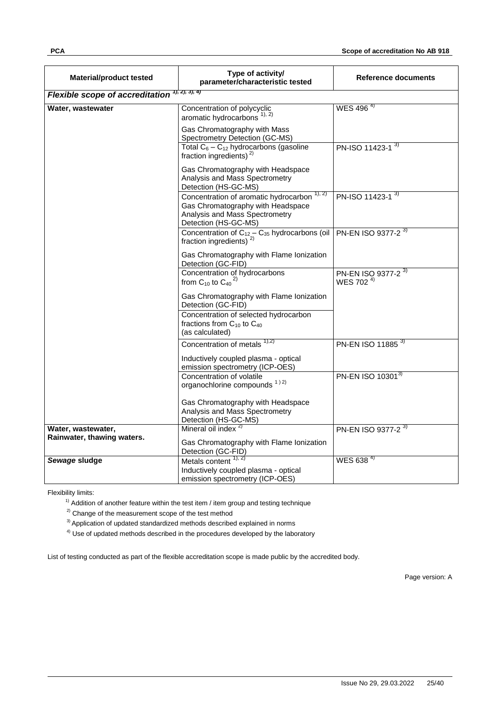| <b>Material/product tested</b>         | Type of activity/<br>parameter/characteristic tested                                                                                                   | Reference documents                                     |
|----------------------------------------|--------------------------------------------------------------------------------------------------------------------------------------------------------|---------------------------------------------------------|
| <b>Flexible scope of accreditation</b> | 1, 2, 3, 4                                                                                                                                             |                                                         |
| Water, wastewater                      | Concentration of polycyclic<br>aromatic hydrocarbons $1, 2$                                                                                            | $WES$ 496 <sup>4)</sup>                                 |
|                                        | Gas Chromatography with Mass<br>Spectrometry Detection (GC-MS)                                                                                         |                                                         |
|                                        | Total $C_6 - C_{12}$ hydrocarbons (gasoline<br>fraction ingredients) $^{2)}$                                                                           | PN-ISO 11423-1 <sup>3)</sup>                            |
|                                        | Gas Chromatography with Headspace<br>Analysis and Mass Spectrometry<br>Detection (HS-GC-MS)                                                            |                                                         |
|                                        | Concentration of aromatic hydrocarbon <sup>1), 2)</sup><br>Gas Chromatography with Headspace<br>Analysis and Mass Spectrometry<br>Detection (HS-GC-MS) | PN-ISO 11423-1 <sup>3)</sup>                            |
|                                        | Concentration of $C_{12} - C_{35}$ hydrocarbons (oil<br>fraction ingredients) $2)$                                                                     | PN-EN ISO 9377-2 <sup>3)</sup>                          |
|                                        | Gas Chromatography with Flame Ionization<br>Detection (GC-FID)                                                                                         |                                                         |
|                                        | Concentration of hydrocarbons<br>from C <sub>10</sub> to C <sub>40</sub> <sup>2)</sup>                                                                 | PN-EN ISO 9377-2 <sup>3)</sup><br>WES 702 <sup>4)</sup> |
|                                        | Gas Chromatography with Flame Ionization<br>Detection (GC-FID)                                                                                         |                                                         |
|                                        | Concentration of selected hydrocarbon<br>fractions from $C_{10}$ to $C_{40}$<br>(as calculated)                                                        |                                                         |
|                                        | Concentration of metals 1,2)                                                                                                                           | PN-EN ISO 11885 <sup>3)</sup>                           |
|                                        | Inductively coupled plasma - optical<br>emission spectrometry (ICP-OES)                                                                                |                                                         |
|                                        | Concentration of volatile<br>organochlorine compounds 1) 2)                                                                                            | PN-EN ISO 103013)                                       |
|                                        | Gas Chromatography with Headspace<br>Analysis and Mass Spectrometry<br>Detection (HS-GC-MS)                                                            |                                                         |
| Water, wastewater,                     | Mineral oil index $2$                                                                                                                                  | PN-EN ISO 9377-2 <sup>3)</sup>                          |
| Rainwater, thawing waters.             | Gas Chromatography with Flame Ionization<br>Detection (GC-FID)                                                                                         |                                                         |
| Sewage sludge                          | Metals content $1, 2$<br>Inductively coupled plasma - optical<br>emission spectrometry (ICP-OES)                                                       | WES 638 $4$                                             |

 $1)$  Addition of another feature within the test item / item group and testing technique

<sup>2)</sup> Change of the measurement scope of the test method

<sup>3)</sup> Application of updated standardized methods described explained in norms

 $4)$  Use of updated methods described in the procedures developed by the laboratory

List of testing conducted as part of the flexible accreditation scope is made public by the accredited body.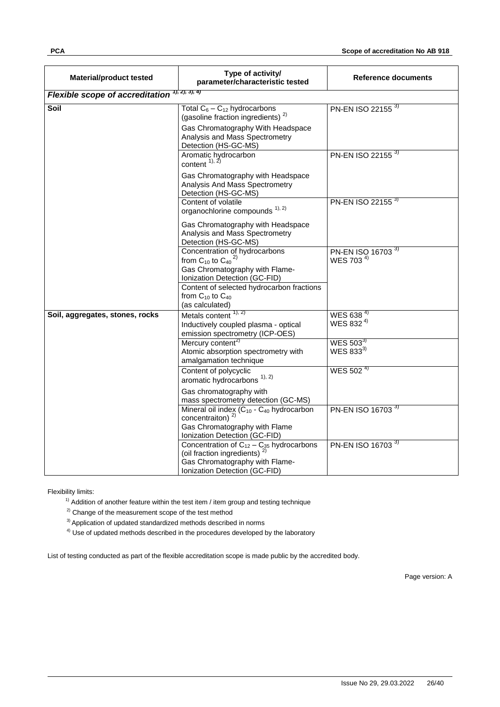| <b>Material/product tested</b>         | Type of activity/<br>parameter/characteristic tested                                                                                                                              | Reference documents                                    |
|----------------------------------------|-----------------------------------------------------------------------------------------------------------------------------------------------------------------------------------|--------------------------------------------------------|
| <b>Flexible scope of accreditation</b> | 1, 2, 3, 4)                                                                                                                                                                       |                                                        |
| Soil                                   | Total $C_6 - C_{12}$ hydrocarbons<br>(gasoline fraction ingredients) <sup>2)</sup><br>Gas Chromatography With Headspace<br>Analysis and Mass Spectrometry<br>Detection (HS-GC-MS) | PN-EN ISO 22155 <sup>3)</sup>                          |
|                                        | Aromatic hydrocarbon<br>content $^{1,2)}$<br>Gas Chromatography with Headspace                                                                                                    | PN-EN ISO 22155 3)                                     |
|                                        | Analysis And Mass Spectrometry<br>Detection (HS-GC-MS)                                                                                                                            |                                                        |
|                                        | Content of volatile<br>organochlorine compounds <sup>1), 2)</sup>                                                                                                                 | PN-EN ISO 22155 <sup>3)</sup>                          |
|                                        | Gas Chromatography with Headspace<br>Analysis and Mass Spectrometry<br>Detection (HS-GC-MS)                                                                                       |                                                        |
|                                        | Concentration of hydrocarbons<br>from C <sub>10</sub> to C <sub>40</sub> <sup>2)</sup><br>Gas Chromatography with Flame-<br>Ionization Detection (GC-FID)                         | PN-EN ISO 16703 <sup>3)</sup><br>WES 703 <sup>4)</sup> |
|                                        | Content of selected hydrocarbon fractions<br>from $C_{10}$ to $C_{40}$<br>(as calculated)                                                                                         |                                                        |
| Soil, aggregates, stones, rocks        | Metals content $1, 2$<br>Inductively coupled plasma - optical<br>emission spectrometry (ICP-OES)                                                                                  | WES 638 <sup>4)</sup><br>WES 832 <sup>4)</sup>         |
|                                        | Mercury content <sup>2)</sup><br>Atomic absorption spectrometry with<br>amalgamation technique                                                                                    | WES $503^{3}$<br>WES 833 <sup>3)</sup>                 |
|                                        | Content of polycyclic<br>aromatic hydrocarbons <sup>1), 2)</sup>                                                                                                                  | WES 502 <sup>4)</sup>                                  |
|                                        | Gas chromatography with<br>mass spectrometry detection (GC-MS)                                                                                                                    |                                                        |
|                                        | Mineral oil index (C <sub>10</sub> - C <sub>40</sub> hydrocarbon<br>concentraiton) <sup>2)</sup><br>Gas Chromatography with Flame<br>Ionization Detection (GC-FID)                | PN-EN ISO 16703 <sup>3)</sup>                          |
|                                        | Concentration of $C_{12} - C_{35}$ hydrocarbons<br>(oil fraction ingredients)<br>Gas Chromatography with Flame-<br>Ionization Detection (GC-FID)                                  | PN-EN ISO 16703 <sup>3)</sup>                          |

 $1)$  Addition of another feature within the test item / item group and testing technique

<sup>2)</sup> Change of the measurement scope of the test method

<sup>3)</sup> Application of updated standardized methods described in norms

 $4)$  Use of updated methods described in the procedures developed by the laboratory

List of testing conducted as part of the flexible accreditation scope is made public by the accredited body.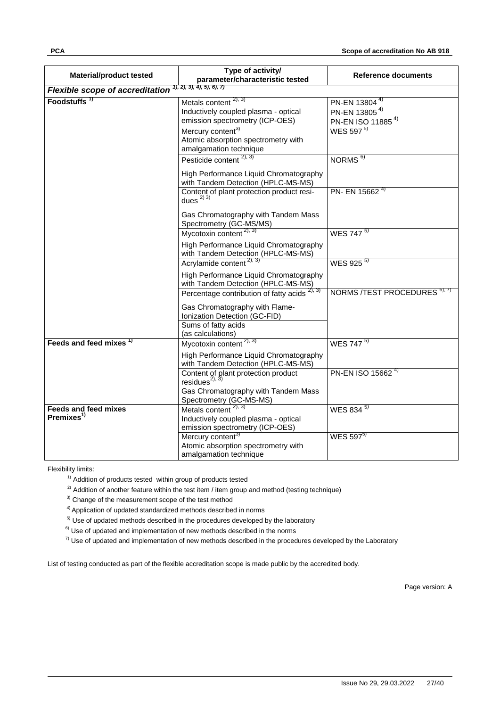| <b>Material/product tested</b>                        | Type of activity/<br>parameter/characteristic tested                                                | <b>Reference documents</b>                                                              |
|-------------------------------------------------------|-----------------------------------------------------------------------------------------------------|-----------------------------------------------------------------------------------------|
| <b>Flexible scope of accreditation</b>                | 1, 2, 3, 4, 5, 6, 7                                                                                 |                                                                                         |
| Foodstuffs <sup>1)</sup>                              | Metals content $^{2,3)}$<br>Inductively coupled plasma - optical<br>emission spectrometry (ICP-OES) | PN-EN 13804 <sup>4)</sup><br>PN-EN 13805 <sup>4)</sup><br>PN-EN ISO 11885 <sup>4)</sup> |
|                                                       | Mercury content <sup>3)</sup><br>Atomic absorption spectrometry with<br>amalgamation technique      | WES 597 <sup>5)</sup>                                                                   |
|                                                       | Pesticide content $^{2,3}$                                                                          | NORMS <sup>6)</sup>                                                                     |
|                                                       | High Performance Liquid Chromatography<br>with Tandem Detection (HPLC-MS-MS)                        |                                                                                         |
|                                                       | Content of plant protection product resi-<br>dues $^{2)}$ 3)                                        | PN- EN 15662 <sup>4)</sup>                                                              |
|                                                       | Gas Chromatography with Tandem Mass<br>Spectrometry (GC-MS/MS)                                      |                                                                                         |
|                                                       | Mycotoxin content $^{2,3}$                                                                          | WES 747 <sup>5)</sup>                                                                   |
|                                                       | High Performance Liquid Chromatography<br>with Tandem Detection (HPLC-MS-MS)                        |                                                                                         |
|                                                       | Acrylamide content <sup>2), 3)</sup>                                                                | WES 925 <sup>5)</sup>                                                                   |
|                                                       | High Performance Liquid Chromatography<br>with Tandem Detection (HPLC-MS-MS)                        |                                                                                         |
|                                                       | Percentage contribution of fatty acids $2, 3$                                                       | NORMS /TEST PROCEDURES 6), 7)                                                           |
|                                                       | Gas Chromatography with Flame-<br>Ionization Detection (GC-FID)                                     |                                                                                         |
|                                                       | Sums of fatty acids<br>(as calculations)                                                            |                                                                                         |
| Feeds and feed mixes <sup>1)</sup>                    | Mycotoxin content <sup>2), 3)</sup>                                                                 | WES $747^{5}$                                                                           |
|                                                       | High Performance Liquid Chromatography<br>with Tandem Detection (HPLC-MS-MS)                        |                                                                                         |
|                                                       | Content of plant protection product<br>residues <sup>2)</sup> , $3$                                 | PN-EN ISO 15662 <sup>4)</sup>                                                           |
|                                                       | Gas Chromatography with Tandem Mass<br>Spectrometry (GC-MS-MS)                                      |                                                                                         |
| <b>Feeds and feed mixes</b><br>Premixes <sup>1)</sup> | Metals content $2, 3$<br>Inductively coupled plasma - optical<br>emission spectrometry (ICP-OES)    | WES 834 5)                                                                              |
|                                                       | Mercury content <sup>3)</sup><br>Atomic absorption spectrometry with<br>amalgamation technique      | WES 597 <sup>5)</sup>                                                                   |

<sup>1)</sup> Addition of products tested within group of products tested

 $^{2)}$  Addition of another feature within the test item / item group and method (testing technique)

<sup>3)</sup> Change of the measurement scope of the test method

4) Application of updated standardized methods described in norms

 $5)$  Use of updated methods described in the procedures developed by the laboratory

 $6)$  Use of updated and implementation of new methods described in the norms

 $7)$  Use of updated and implementation of new methods described in the procedures developed by the Laboratory

List of testing conducted as part of the flexible accreditation scope is made public by the accredited body.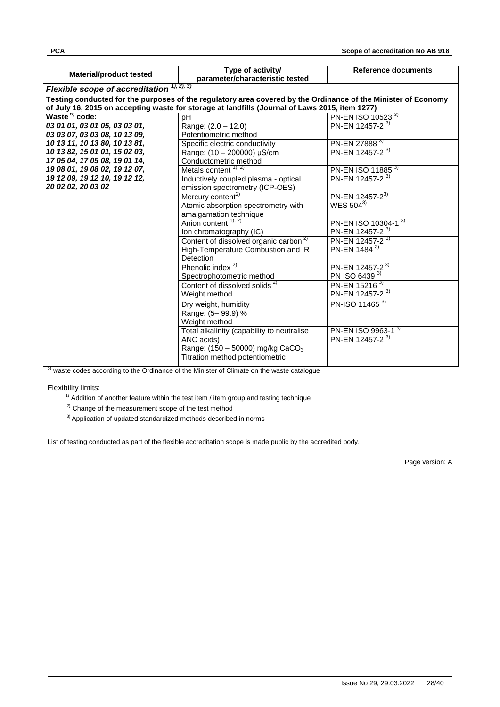| <b>Material/product tested</b>         | Type of activity/<br>parameter/characteristic tested                                                          | Reference documents            |
|----------------------------------------|---------------------------------------------------------------------------------------------------------------|--------------------------------|
| <b>Flexible scope of accreditation</b> | 1, 2, 3)                                                                                                      |                                |
|                                        | Testing conducted for the purposes of the regulatory area covered by the Ordinance of the Minister of Economy |                                |
|                                        | of July 16, 2015 on accepting waste for storage at landfills (Journal of Laws 2015, item 1277)                |                                |
| Waste <sup>o</sup> code:               | pH                                                                                                            | PN-EN ISO 10523 <sup>3)</sup>  |
| 03 01 01, 03 01 05, 03 03 01,          | Range: (2.0 - 12.0)                                                                                           | PN-EN 12457-2 <sup>3)</sup>    |
| 03 03 07, 03 03 08, 10 13 09,          | Potentiometric method                                                                                         |                                |
| 10 13 11, 10 13 80, 10 13 81,          | Specific electric conductivity                                                                                | PN-EN 27888 <sup>3)</sup>      |
| 10 13 82, 15 01 01, 15 02 03,          | Range: (10 - 200000) µS/cm                                                                                    | PN-EN 12457-2 <sup>3)</sup>    |
| 17 05 04, 17 05 08, 19 01 14,          | Conductometric method                                                                                         |                                |
| 19 08 01, 19 08 02, 19 12 07,          | Metals content $1, 2$                                                                                         | PN-EN ISO 11885 3)             |
| 19 12 09, 19 12 10, 19 12 12,          | Inductively coupled plasma - optical                                                                          | PN-EN 12457-2 <sup>3)</sup>    |
| 20 02 02, 20 03 02                     | emission spectrometry (ICP-OES)                                                                               |                                |
|                                        | Mercury content <sup>2)</sup>                                                                                 | PN-EN 12457-2 <sup>3)</sup>    |
|                                        | Atomic absorption spectrometry with                                                                           | WES 5043)                      |
|                                        | amalgamation technique                                                                                        |                                |
|                                        | Anion content $1, 2$                                                                                          | PN-EN ISO 10304-13)            |
|                                        | Ion chromatography (IC)                                                                                       | PN-EN 12457-2 <sup>3)</sup>    |
|                                        | Content of dissolved organic carbon <sup>2)</sup>                                                             | PN-EN 12457-2 <sup>3)</sup>    |
|                                        | High-Temperature Combustion and IR                                                                            | PN-EN 1484 <sup>3)</sup>       |
|                                        | Detection                                                                                                     |                                |
|                                        | Phenolic index $^{2)}$                                                                                        | PN-EN 12457-2 <sup>3)</sup>    |
|                                        | Spectrophotometric method                                                                                     | PN ISO 6439 3)                 |
|                                        | Content of dissolved solids <sup>2)</sup>                                                                     | PN-EN 15216 <sup>3)</sup>      |
|                                        | Weight method                                                                                                 | PN-EN 12457-2 <sup>3)</sup>    |
|                                        | Dry weight, humidity                                                                                          | PN-ISO 11465 <sup>3)</sup>     |
|                                        | Range: (5-99.9) %                                                                                             |                                |
|                                        | Weight method                                                                                                 |                                |
|                                        | Total alkalinity (capability to neutralise                                                                    | PN-EN ISO 9963-1 <sup>3)</sup> |
|                                        | ANC acids)                                                                                                    | PN-EN 12457-2 <sup>3)</sup>    |
|                                        | Range: $(150 - 50000)$ mg/kg CaCO <sub>3</sub>                                                                |                                |
|                                        | Titration method potentiometric                                                                               |                                |
|                                        |                                                                                                               |                                |

<sup>o)</sup> waste codes according to the Ordinance of the Minister of Climate on the waste catalogue

Flexibility limits:

- <sup>1)</sup> Addition of another feature within the test item / item group and testing technique
- $2)$  Change of the measurement scope of the test method
- <sup>3)</sup> Application of updated standardized methods described in norms

List of testing conducted as part of the flexible accreditation scope is made public by the accredited body.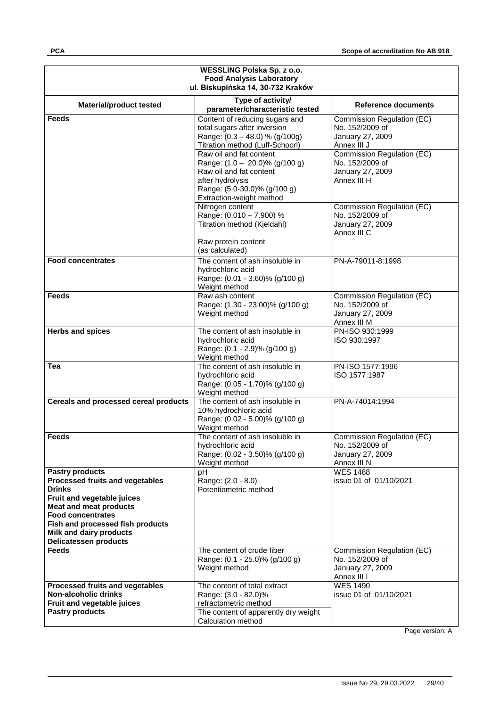| WESSLING Polska Sp. z o.o.                                                                                                                                                                                                                                                         |                                                                                                                                                                         |                                                                                  |  |
|------------------------------------------------------------------------------------------------------------------------------------------------------------------------------------------------------------------------------------------------------------------------------------|-------------------------------------------------------------------------------------------------------------------------------------------------------------------------|----------------------------------------------------------------------------------|--|
| <b>Food Analysis Laboratory</b><br>ul. Biskupińska 14, 30-732 Kraków                                                                                                                                                                                                               |                                                                                                                                                                         |                                                                                  |  |
|                                                                                                                                                                                                                                                                                    |                                                                                                                                                                         |                                                                                  |  |
| <b>Material/product tested</b>                                                                                                                                                                                                                                                     | Type of activity/<br>parameter/characteristic tested                                                                                                                    | Reference documents                                                              |  |
| Feeds                                                                                                                                                                                                                                                                              | Content of reducing sugars and<br>total sugars after inversion<br>Range: (0.3 - 48.0) % (g/100g)<br>Titration method (Luff-Schoorl)                                     | Commission Regulation (EC)<br>No. 152/2009 of<br>January 27, 2009<br>Annex III J |  |
|                                                                                                                                                                                                                                                                                    | Raw oil and fat content<br>Range: $(1.0 - 20.0)\%$ (g/100 g)<br>Raw oil and fat content<br>after hydrolysis<br>Range: (5.0-30.0)% (g/100 g)<br>Extraction-weight method | Commission Regulation (EC)<br>No. 152/2009 of<br>January 27, 2009<br>Annex III H |  |
|                                                                                                                                                                                                                                                                                    | Nitrogen content<br>Range: (0.010 - 7.900) %<br>Titration method (Kjeldahl)<br>Raw protein content                                                                      | Commission Regulation (EC)<br>No. 152/2009 of<br>January 27, 2009<br>Annex III C |  |
|                                                                                                                                                                                                                                                                                    | (as calculated)                                                                                                                                                         |                                                                                  |  |
| Food concentrates                                                                                                                                                                                                                                                                  | The content of ash insoluble in<br>hydrochloric acid<br>Range: (0.01 - 3.60)% (g/100 g)<br>Weight method                                                                | PN-A-79011-8:1998                                                                |  |
| <b>Feeds</b>                                                                                                                                                                                                                                                                       | Raw ash content<br>Range: (1.30 - 23.00)% (g/100 g)<br>Weight method                                                                                                    | Commission Regulation (EC)<br>No. 152/2009 of<br>January 27, 2009<br>Annex III M |  |
| <b>Herbs and spices</b>                                                                                                                                                                                                                                                            | The content of ash insoluble in<br>hydrochloric acid<br>Range: (0.1 - 2.9)% (g/100 g)<br>Weight method                                                                  | PN-ISO 930:1999<br>ISO 930:1997                                                  |  |
| Tea                                                                                                                                                                                                                                                                                | The content of ash insoluble in<br>hydrochloric acid<br>Range: (0.05 - 1.70)% (g/100 g)<br>Weight method                                                                | PN-ISO 1577:1996<br>ISO 1577:1987                                                |  |
| Cereals and processed cereal products                                                                                                                                                                                                                                              | The content of ash insoluble in<br>10% hydrochloric acid<br>Range: (0.02 - 5.00)% (g/100 g)<br>Weight method                                                            | PN-A-74014:1994                                                                  |  |
| <b>Feeds</b>                                                                                                                                                                                                                                                                       | The content of ash insoluble in<br>hydrochloric acid<br>Range: (0.02 - 3.50)% (g/100 g)<br>Weight method                                                                | Commission Regulation (EC)<br>No. 152/2009 of<br>January 27, 2009<br>Annex III N |  |
| <b>Pastry products</b><br><b>Processed fruits and vegetables</b><br><b>Drinks</b><br>Fruit and vegetable juices<br><b>Meat and meat products</b><br><b>Food concentrates</b><br>Fish and processed fish products<br><b>Milk and dairy products</b><br><b>Delicatessen products</b> | pH<br>Range: (2.0 - 8.0)<br>Potentiometric method                                                                                                                       | <b>WES 1488</b><br>issue 01 of 01/10/2021                                        |  |
| <b>Feeds</b>                                                                                                                                                                                                                                                                       | The content of crude fiber<br>Range: (0.1 - 25.0)% (g/100 g)<br>Weight method                                                                                           | Commission Regulation (EC)<br>No. 152/2009 of<br>January 27, 2009<br>Annex III I |  |
| Processed fruits and vegetables<br>Non-alcoholic drinks<br>Fruit and vegetable juices<br><b>Pastry products</b>                                                                                                                                                                    | The content of total extract<br>Range: (3.0 - 82.0)%<br>refractometric method<br>The content of apparently dry weight<br>Calculation method                             | <b>WES 1490</b><br>issue 01 of 01/10/2021                                        |  |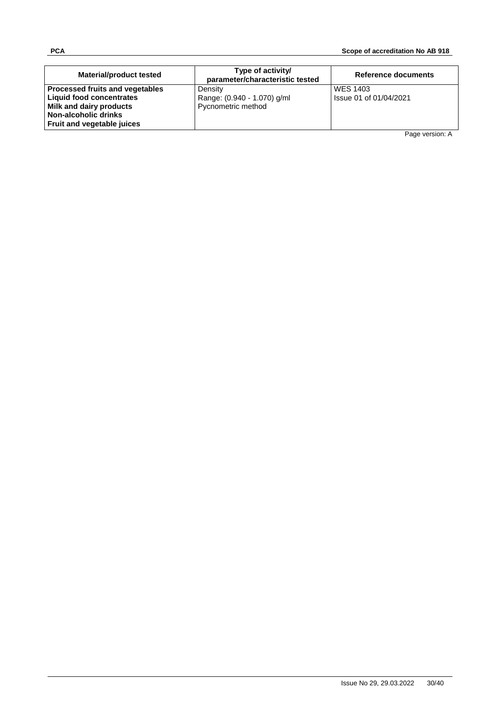| <b>Material/product tested</b>                                                                | Type of activity/<br>parameter/characteristic tested         | Reference documents                       |
|-----------------------------------------------------------------------------------------------|--------------------------------------------------------------|-------------------------------------------|
| Processed fruits and vegetables<br><b>Liquid food concentrates</b><br>Milk and dairy products | Density<br>Range: (0.940 - 1.070) g/ml<br>Pycnometric method | <b>WES 1403</b><br>Issue 01 of 01/04/2021 |
| Non-alcoholic drinks<br><b>Fruit and vegetable juices</b>                                     |                                                              |                                           |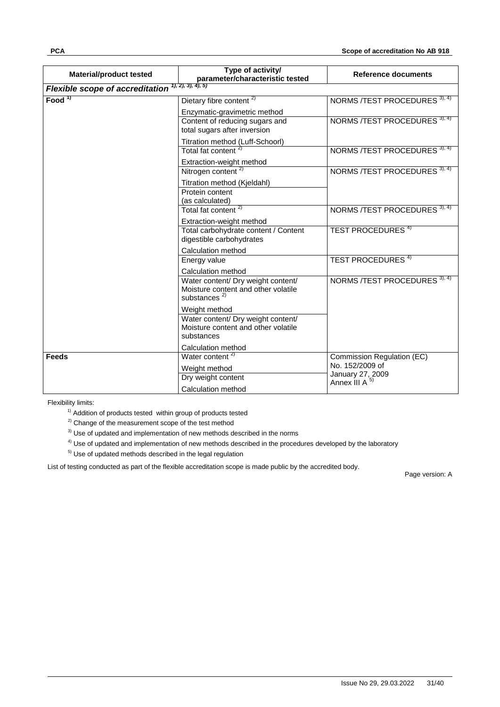|                                                                                              | Type of activity/                                                                               | <b>Reference documents</b>            |
|----------------------------------------------------------------------------------------------|-------------------------------------------------------------------------------------------------|---------------------------------------|
| Flexible scope of accreditation $\frac{1}{(1, 2), 3), 4, 5}$ parameter/characteristic tested |                                                                                                 |                                       |
| Food <sup>1)</sup>                                                                           | Dietary fibre content <sup>2)</sup>                                                             | NORMS /TEST PROCEDURES 3), 4)         |
|                                                                                              | Enzymatic-gravimetric method                                                                    |                                       |
|                                                                                              | Content of reducing sugars and<br>total sugars after inversion                                  | NORMS /TEST PROCEDURES 3), 4)         |
|                                                                                              | Titration method (Luff-Schoorl)                                                                 |                                       |
|                                                                                              | Total fat content $2$                                                                           | NORMS /TEST PROCEDURES 3), 4)         |
|                                                                                              | Extraction-weight method                                                                        |                                       |
|                                                                                              | Nitrogen content <sup>2)</sup>                                                                  | NORMS /TEST PROCEDURES 3), 4)         |
|                                                                                              | Titration method (Kjeldahl)                                                                     |                                       |
|                                                                                              | Protein content                                                                                 |                                       |
|                                                                                              | (as calculated)<br>Total fat content <sup>2)</sup>                                              | NORMS /TEST PROCEDURES 3), 4)         |
|                                                                                              |                                                                                                 |                                       |
|                                                                                              | Extraction-weight method<br>Total carbohydrate content / Content                                | <b>TEST PROCEDURES 4)</b>             |
|                                                                                              | digestible carbohydrates                                                                        |                                       |
|                                                                                              | Calculation method                                                                              |                                       |
|                                                                                              | Energy value                                                                                    | <b>TEST PROCEDURES 4)</b>             |
|                                                                                              | Calculation method                                                                              |                                       |
|                                                                                              | Water content/ Dry weight content/<br>Moisture content and other volatile<br>substances $^{2)}$ | NORMS /TEST PROCEDURES 3), 4)         |
|                                                                                              | Weight method                                                                                   |                                       |
|                                                                                              | Water content/ Dry weight content/<br>Moisture content and other volatile<br>substances         |                                       |
|                                                                                              | Calculation method                                                                              |                                       |
| <b>Feeds</b>                                                                                 | Water content <sup>2)</sup>                                                                     | Commission Regulation (EC)            |
|                                                                                              | Weight method                                                                                   | No. 152/2009 of                       |
|                                                                                              | Dry weight content                                                                              | January 27, 2009<br>Annex III $A^{5}$ |
|                                                                                              | Calculation method                                                                              |                                       |

 $1)$  Addition of products tested within group of products tested

<sup>2)</sup> Change of the measurement scope of the test method

 $3)$  Use of updated and implementation of new methods described in the norms

 $4)$  Use of updated and implementation of new methods described in the procedures developed by the laboratory

 $5)$  Use of updated methods described in the legal regulation

List of testing conducted as part of the flexible accreditation scope is made public by the accredited body.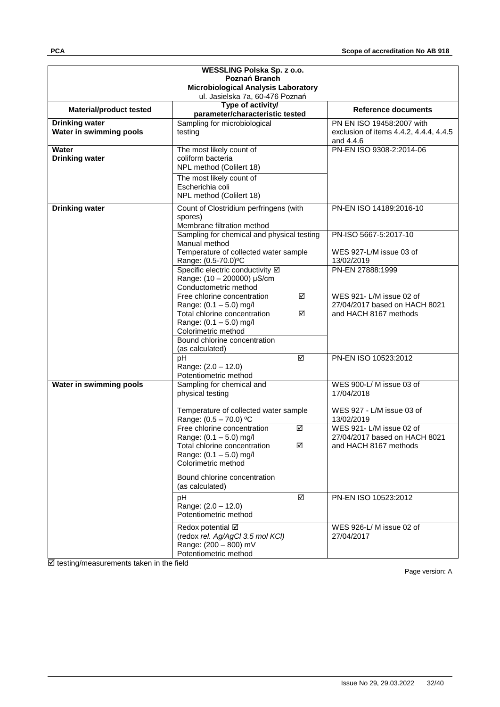| WESSLING Polska Sp. z o.o.<br>Poznań Branch |                                                                                 |                                                     |
|---------------------------------------------|---------------------------------------------------------------------------------|-----------------------------------------------------|
| Microbiological Analysis Laboratory         |                                                                                 |                                                     |
|                                             | ul. Jasielska 7a, 60-476 Poznań                                                 |                                                     |
| <b>Material/product tested</b>              | Type of activity/                                                               | <b>Reference documents</b>                          |
| <b>Drinking water</b>                       | parameter/characteristic tested<br>Sampling for microbiological                 | PN EN ISO 19458:2007 with                           |
| Water in swimming pools                     | testing                                                                         | exclusion of items 4.4.2, 4.4.4, 4.4.5<br>and 4.4.6 |
| Water<br><b>Drinking water</b>              | The most likely count of<br>coliform bacteria<br>NPL method (Colilert 18)       | PN-EN ISO 9308-2:2014-06                            |
|                                             | The most likely count of<br>Escherichia coli<br>NPL method (Colilert 18)        |                                                     |
| <b>Drinking water</b>                       | Count of Clostridium perfringens (with<br>spores)<br>Membrane filtration method | PN-EN ISO 14189:2016-10                             |
|                                             | Sampling for chemical and physical testing                                      | PN-ISO 5667-5:2017-10                               |
|                                             | Manual method                                                                   |                                                     |
|                                             | Temperature of collected water sample<br>Range: (0.5-70.0)°C                    | WES 927-L/M issue 03 of<br>13/02/2019               |
|                                             | Specific electric conductivity Ø<br>Range: (10 - 200000) µS/cm                  | PN-EN 27888:1999                                    |
|                                             | Conductometric method                                                           |                                                     |
|                                             | Free chlorine concentration<br>☑                                                | WES 921-L/M issue 02 of                             |
|                                             | Range: (0.1 - 5.0) mg/l                                                         | 27/04/2017 based on HACH 8021                       |
|                                             | Total chlorine concentration<br>☑<br>Range: $(0.1 - 5.0)$ mg/l                  | and HACH 8167 methods                               |
|                                             | Colorimetric method                                                             |                                                     |
|                                             | Bound chlorine concentration                                                    |                                                     |
|                                             | (as calculated)                                                                 |                                                     |
|                                             | pH<br>☑<br>Range: (2.0 - 12.0)                                                  | PN-EN ISO 10523:2012                                |
|                                             | Potentiometric method                                                           |                                                     |
| Water in swimming pools                     | Sampling for chemical and                                                       | WES 900-L/M issue 03 of                             |
|                                             | physical testing                                                                | 17/04/2018                                          |
|                                             | Temperature of collected water sample                                           | WES 927 - L/M issue 03 of                           |
|                                             | Range: $(0.5 - 70.0)$ °C                                                        | 13/02/2019                                          |
|                                             | Free chlorine concentration<br>☑                                                | WES 921-L/M issue 02 of                             |
|                                             | Range: $(0.1 - 5.0)$ mg/l                                                       | 27/04/2017 based on HACH 8021                       |
|                                             | Total chlorine concentration<br>☑                                               | and HACH 8167 methods                               |
|                                             | Range: $(0.1 - 5.0)$ mg/l<br>Colorimetric method                                |                                                     |
|                                             | Bound chlorine concentration                                                    |                                                     |
|                                             | (as calculated)                                                                 |                                                     |
|                                             | pH<br>☑<br>Range: (2.0 - 12.0)                                                  | PN-EN ISO 10523:2012                                |
|                                             | Potentiometric method                                                           |                                                     |
|                                             | Redox potential Ø<br>(redox rel. Ag/AgCl 3.5 mol KCl)                           | WES 926-L/M issue 02 of<br>27/04/2017               |
|                                             | Range: (200 - 800) mV<br>Potentiometric method                                  |                                                     |

 $\overline{\boxtimes}$  testing/measurements taken in the field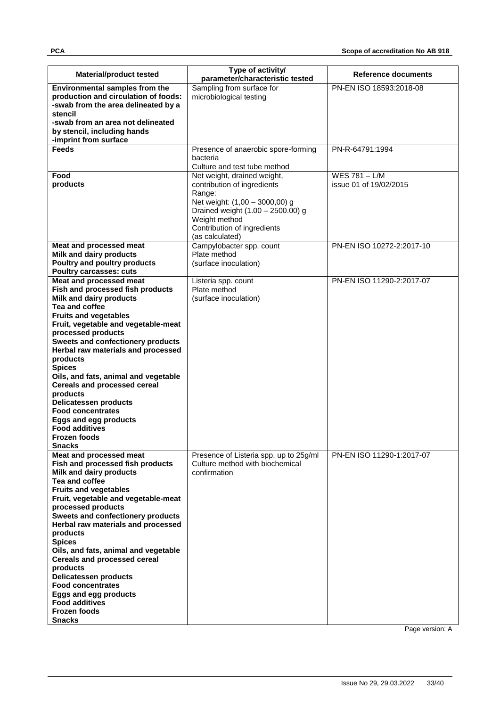| <b>Material/product tested</b>                                                                                                                                                                                                                                                                                                                                                                                                                                                                                                                                               | Type of activity/<br>parameter/characteristic tested                                                                                                                                                           | Reference documents                     |
|------------------------------------------------------------------------------------------------------------------------------------------------------------------------------------------------------------------------------------------------------------------------------------------------------------------------------------------------------------------------------------------------------------------------------------------------------------------------------------------------------------------------------------------------------------------------------|----------------------------------------------------------------------------------------------------------------------------------------------------------------------------------------------------------------|-----------------------------------------|
| <b>Environmental samples from the</b><br>production and circulation of foods:<br>-swab from the area delineated by a<br>stencil<br>-swab from an area not delineated<br>by stencil, including hands<br>-imprint from surface                                                                                                                                                                                                                                                                                                                                                 | Sampling from surface for<br>microbiological testing                                                                                                                                                           | PN-EN ISO 18593:2018-08                 |
| <b>Feeds</b>                                                                                                                                                                                                                                                                                                                                                                                                                                                                                                                                                                 | Presence of anaerobic spore-forming                                                                                                                                                                            | PN-R-64791:1994                         |
|                                                                                                                                                                                                                                                                                                                                                                                                                                                                                                                                                                              | bacteria<br>Culture and test tube method                                                                                                                                                                       |                                         |
| Food<br>products                                                                                                                                                                                                                                                                                                                                                                                                                                                                                                                                                             | Net weight, drained weight,<br>contribution of ingredients<br>Range:<br>Net weight: (1,00 - 3000,00) g<br>Drained weight (1.00 - 2500.00) g<br>Weight method<br>Contribution of ingredients<br>(as calculated) | WES 781 - L/M<br>issue 01 of 19/02/2015 |
| Meat and processed meat                                                                                                                                                                                                                                                                                                                                                                                                                                                                                                                                                      | Campylobacter spp. count                                                                                                                                                                                       | PN-EN ISO 10272-2:2017-10               |
| <b>Milk and dairy products</b><br>Poultry and poultry products<br><b>Poultry carcasses: cuts</b>                                                                                                                                                                                                                                                                                                                                                                                                                                                                             | Plate method<br>(surface inoculation)                                                                                                                                                                          |                                         |
| Meat and processed meat                                                                                                                                                                                                                                                                                                                                                                                                                                                                                                                                                      | Listeria spp. count                                                                                                                                                                                            | PN-EN ISO 11290-2:2017-07               |
| Fish and processed fish products<br><b>Milk and dairy products</b><br>Tea and coffee<br><b>Fruits and vegetables</b><br>Fruit, vegetable and vegetable-meat<br>processed products<br>Sweets and confectionery products<br>Herbal raw materials and processed<br>products<br><b>Spices</b><br>Oils, and fats, animal and vegetable<br><b>Cereals and processed cereal</b><br>products<br><b>Delicatessen products</b><br><b>Food concentrates</b><br><b>Eggs and egg products</b><br><b>Food additives</b><br><b>Frozen foods</b><br><b>Snacks</b><br>Meat and processed meat | Plate method<br>(surface inoculation)<br>Presence of Listeria spp. up to 25g/ml                                                                                                                                | PN-EN ISO 11290-1:2017-07               |
| Fish and processed fish products<br>Milk and dairy products<br>Tea and coffee<br><b>Fruits and vegetables</b><br>Fruit, vegetable and vegetable-meat<br>processed products<br>Sweets and confectionery products<br>Herbal raw materials and processed<br>products<br><b>Spices</b><br>Oils, and fats, animal and vegetable<br><b>Cereals and processed cereal</b><br>products<br><b>Delicatessen products</b><br><b>Food concentrates</b><br>Eggs and egg products<br><b>Food additives</b><br><b>Frozen foods</b><br>Snacks                                                 | Culture method with biochemical<br>confirmation                                                                                                                                                                |                                         |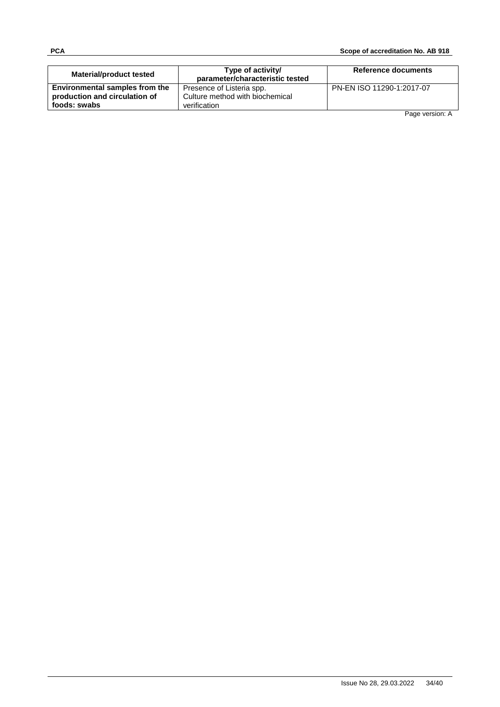| Material/product tested        | Type of activity/<br>parameter/characteristic tested | Reference documents       |
|--------------------------------|------------------------------------------------------|---------------------------|
| Environmental samples from the | Presence of Listeria spp.                            | PN-EN ISO 11290-1:2017-07 |
| production and circulation of  | Culture method with biochemical                      |                           |
| foods: swabs                   | verification                                         |                           |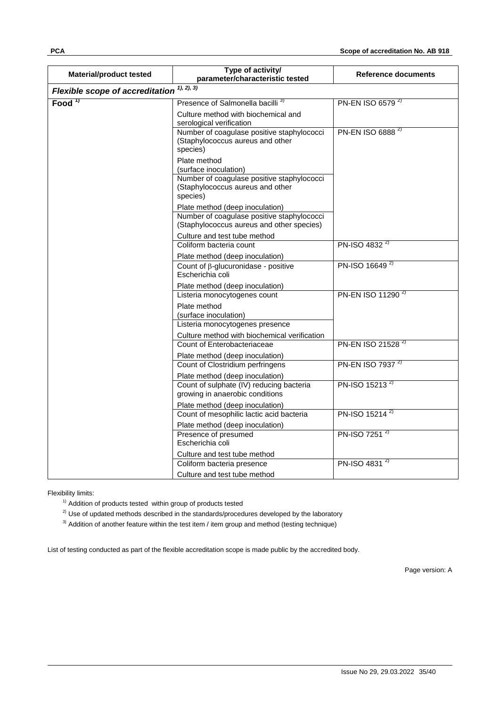| <b>Material/product tested</b>            | Type of activity/<br>parameter/characteristic tested                                                                       | Reference documents           |
|-------------------------------------------|----------------------------------------------------------------------------------------------------------------------------|-------------------------------|
| Flexible scope of accreditation $1, 2, 3$ |                                                                                                                            |                               |
| Food $1$                                  | Presence of Salmonella bacilli <sup>3)</sup>                                                                               | PN-EN ISO 6579 <sup>2)</sup>  |
|                                           | Culture method with biochemical and<br>serological verification                                                            |                               |
|                                           | Number of coagulase positive staphylococci<br>(Staphylococcus aureus and other<br>species)                                 | PN-EN ISO 6888 <sup>2)</sup>  |
|                                           | Plate method<br>(surface inoculation)                                                                                      |                               |
|                                           | Number of coagulase positive staphylococci<br>(Staphylococcus aureus and other<br>species)                                 |                               |
|                                           | Plate method (deep inoculation)<br>Number of coagulase positive staphylococci<br>(Staphylococcus aureus and other species) |                               |
|                                           | Culture and test tube method                                                                                               |                               |
|                                           | Coliform bacteria count                                                                                                    | PN-ISO 4832 <sup>2)</sup>     |
|                                           | Plate method (deep inoculation)                                                                                            | PN-ISO 16649 <sup>2)</sup>    |
|                                           | Count of $\beta$ -glucuronidase - positive<br>Escherichia coli                                                             |                               |
|                                           | Plate method (deep inoculation)                                                                                            |                               |
|                                           | Listeria monocytogenes count                                                                                               | PN-EN ISO 11290 <sup>2)</sup> |
|                                           | Plate method<br>(surface inoculation)                                                                                      |                               |
|                                           | Listeria monocytogenes presence                                                                                            |                               |
|                                           | Culture method with biochemical verification                                                                               |                               |
|                                           | Count of Enterobacteriaceae                                                                                                | PN-EN ISO 21528 <sup>2)</sup> |
|                                           | Plate method (deep inoculation)                                                                                            | PN-EN ISO 7937 <sup>2)</sup>  |
|                                           | Count of Clostridium perfringens                                                                                           |                               |
|                                           | Plate method (deep inoculation)<br>Count of sulphate (IV) reducing bacteria                                                | PN-ISO 15213 <sup>2)</sup>    |
|                                           | growing in anaerobic conditions                                                                                            |                               |
|                                           | Plate method (deep inoculation)                                                                                            |                               |
|                                           | Count of mesophilic lactic acid bacteria                                                                                   | PN-ISO 15214 <sup>2)</sup>    |
|                                           | Plate method (deep inoculation)                                                                                            |                               |
|                                           | Presence of presumed<br>Escherichia coli                                                                                   | PN-ISO 7251 <sup>2)</sup>     |
|                                           | Culture and test tube method                                                                                               |                               |
|                                           | Coliform bacteria presence                                                                                                 | PN-ISO 4831 <sup>2)</sup>     |
|                                           | Culture and test tube method                                                                                               |                               |

 $1)$  Addition of products tested within group of products tested

 $2)$  Use of updated methods described in the standards/procedures developed by the laboratory

 $3)$  Addition of another feature within the test item / item group and method (testing technique)

List of testing conducted as part of the flexible accreditation scope is made public by the accredited body.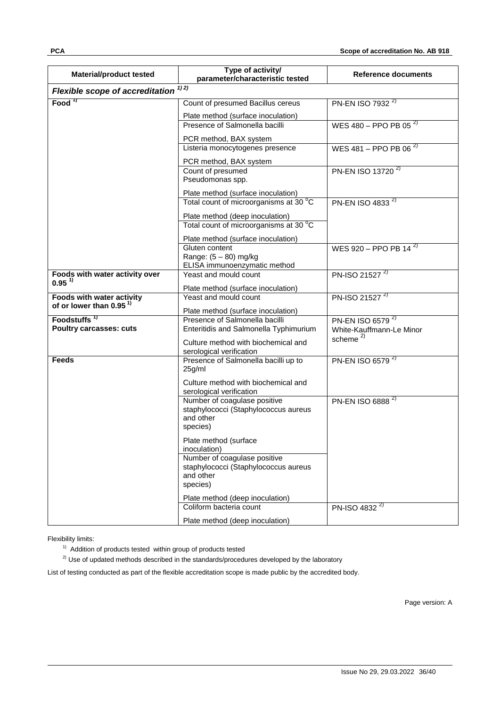| <b>Material/product tested</b>                                   | Type of activity/<br>parameter/characteristic tested                     | <b>Reference documents</b>                     |
|------------------------------------------------------------------|--------------------------------------------------------------------------|------------------------------------------------|
| <b>Flexible scope of accreditation</b>                           | 1) 2)                                                                    |                                                |
| Food $\frac{1}{1}$                                               | Count of presumed Bacillus cereus                                        | PN-EN ISO 7932 <sup>2)</sup>                   |
|                                                                  | Plate method (surface inoculation)                                       |                                                |
|                                                                  | Presence of Salmonella bacilli                                           | WES $\overline{480}$ – PPO PB 05 <sup>2)</sup> |
|                                                                  | PCR method, BAX system                                                   |                                                |
|                                                                  | Listeria monocytogenes presence                                          | WES 481 - PPO PB 06 $^{2}$                     |
|                                                                  | PCR method, BAX system                                                   |                                                |
|                                                                  | Count of presumed                                                        | PN-EN ISO 13720 <sup>2)</sup>                  |
|                                                                  | Pseudomonas spp.                                                         |                                                |
|                                                                  | Plate method (surface inoculation)                                       |                                                |
|                                                                  | Total count of microorganisms at 30 °C                                   | PN-EN ISO 4833 <sup>2)</sup>                   |
|                                                                  | Plate method (deep inoculation)                                          |                                                |
|                                                                  | Total count of microorganisms at 30 °C                                   |                                                |
|                                                                  | Plate method (surface inoculation)                                       |                                                |
|                                                                  | Gluten content                                                           | WES $920 - PPOPB$ 14 <sup>2)</sup>             |
|                                                                  | Range: $(5 - 80)$ mg/kg                                                  |                                                |
| Foods with water activity over                                   | ELISA immunoenzymatic method<br>Yeast and mould count                    | PN-ISO 21527 <sup>2)</sup>                     |
| $0.95^{11}$                                                      |                                                                          |                                                |
|                                                                  | Plate method (surface inoculation)                                       |                                                |
| Foods with water activity<br>of or lower than 0.95 <sup>1)</sup> | Yeast and mould count                                                    | PN-ISO 21527 <sup>2)</sup>                     |
|                                                                  | Plate method (surface inoculation)                                       |                                                |
| Foodstuffs <sup>1</sup><br><b>Poultry carcasses: cuts</b>        | Presence of Salmonella bacilli<br>Enteritidis and Salmonella Typhimurium | PN-EN ISO 6579 <sup>2)</sup>                   |
|                                                                  |                                                                          | White-Kauffmann-Le Minor<br>scheme $^{2)}$     |
|                                                                  | Culture method with biochemical and                                      |                                                |
| <b>Feeds</b>                                                     | serological verification<br>Presence of Salmonella bacilli up to         | PN-EN ISO 6579 <sup>2)</sup>                   |
|                                                                  | 25g/ml                                                                   |                                                |
|                                                                  | Culture method with biochemical and                                      |                                                |
|                                                                  | serological verification                                                 |                                                |
|                                                                  | Number of coagulase positive                                             | PN-EN ISO 6888 <sup>2)</sup>                   |
|                                                                  | staphylococci (Staphylococcus aureus<br>and other                        |                                                |
|                                                                  | species)                                                                 |                                                |
|                                                                  |                                                                          |                                                |
|                                                                  | Plate method (surface<br>inoculation)                                    |                                                |
|                                                                  | Number of coagulase positive                                             |                                                |
|                                                                  | staphylococci (Staphylococcus aureus                                     |                                                |
|                                                                  | and other                                                                |                                                |
|                                                                  | species)                                                                 |                                                |
|                                                                  | Plate method (deep inoculation)                                          |                                                |
|                                                                  | Coliform bacteria count                                                  | PN-ISO 4832 <sup>2)</sup>                      |
|                                                                  | Plate method (deep inoculation)                                          |                                                |

<sup>1)</sup> Addition of products tested within group of products tested

 $2)$  Use of updated methods described in the standards/procedures developed by the laboratory

List of testing conducted as part of the flexible accreditation scope is made public by the accredited body.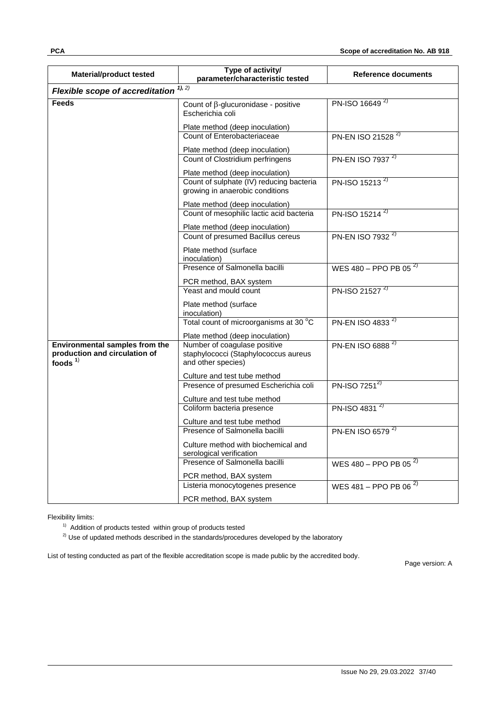| <b>Material/product tested</b>                                                       | Type of activity/<br>parameter/characteristic tested                                       | <b>Reference documents</b>    |  |  |  |
|--------------------------------------------------------------------------------------|--------------------------------------------------------------------------------------------|-------------------------------|--|--|--|
| Flexible scope of accreditation $1, 2)$                                              |                                                                                            |                               |  |  |  |
| <b>Feeds</b>                                                                         | Count of $\beta$ -glucuronidase - positive<br>Escherichia coli                             | PN-ISO 16649 <sup>2)</sup>    |  |  |  |
|                                                                                      | Plate method (deep inoculation)                                                            |                               |  |  |  |
|                                                                                      | Count of Enterobacteriaceae                                                                | PN-EN ISO 21528 <sup>2)</sup> |  |  |  |
|                                                                                      | Plate method (deep inoculation)                                                            |                               |  |  |  |
|                                                                                      | Count of Clostridium perfringens                                                           | PN-EN ISO 7937 <sup>2)</sup>  |  |  |  |
|                                                                                      | Plate method (deep inoculation)                                                            |                               |  |  |  |
|                                                                                      | Count of sulphate (IV) reducing bacteria<br>growing in anaerobic conditions                | PN-ISO 15213 <sup>2)</sup>    |  |  |  |
|                                                                                      | Plate method (deep inoculation)                                                            |                               |  |  |  |
|                                                                                      | Count of mesophilic lactic acid bacteria                                                   | PN-ISO 15214 <sup>2)</sup>    |  |  |  |
|                                                                                      | Plate method (deep inoculation)                                                            |                               |  |  |  |
|                                                                                      | Count of presumed Bacillus cereus                                                          | PN-EN ISO 7932 <sup>2)</sup>  |  |  |  |
|                                                                                      | Plate method (surface<br>inoculation)                                                      |                               |  |  |  |
|                                                                                      | Presence of Salmonella bacilli                                                             | WES 480 - PPO PB 05 $^{2}$    |  |  |  |
|                                                                                      | PCR method, BAX system                                                                     |                               |  |  |  |
|                                                                                      | Yeast and mould count                                                                      | PN-ISO 21527 <sup>2)</sup>    |  |  |  |
|                                                                                      | Plate method (surface<br>inoculation)                                                      |                               |  |  |  |
|                                                                                      | Total count of microorganisms at 30 °C                                                     | PN-EN ISO 4833 <sup>2)</sup>  |  |  |  |
|                                                                                      | Plate method (deep inoculation)                                                            |                               |  |  |  |
| <b>Environmental samples from the</b><br>production and circulation of<br>foods $1)$ | Number of coagulase positive<br>staphylococci (Staphylococcus aureus<br>and other species) | PN-EN ISO 6888 <sup>2)</sup>  |  |  |  |
|                                                                                      | Culture and test tube method                                                               |                               |  |  |  |
|                                                                                      | Presence of presumed Escherichia coli                                                      | $PN$ -ISO 7251 <sup>2)</sup>  |  |  |  |
|                                                                                      | Culture and test tube method<br>Coliform bacteria presence                                 | PN-ISO 4831 <sup>2)</sup>     |  |  |  |
|                                                                                      |                                                                                            |                               |  |  |  |
|                                                                                      | Culture and test tube method<br>Presence of Salmonella bacilli                             | PN-EN ISO 6579 <sup>2)</sup>  |  |  |  |
|                                                                                      |                                                                                            |                               |  |  |  |
|                                                                                      | Culture method with biochemical and<br>serological verification                            |                               |  |  |  |
|                                                                                      | Presence of Salmonella bacilli                                                             | WES 480 - PPO PB 05 $^{2)}$   |  |  |  |
|                                                                                      | PCR method, BAX system                                                                     |                               |  |  |  |
|                                                                                      | Listeria monocytogenes presence                                                            | WES 481 - PPO PB 06 $^{2}$    |  |  |  |
|                                                                                      | PCR method, BAX system                                                                     |                               |  |  |  |

 $1)$  Addition of products tested within group of products tested

 $2)$  Use of updated methods described in the standards/procedures developed by the laboratory

List of testing conducted as part of the flexible accreditation scope is made public by the accredited body.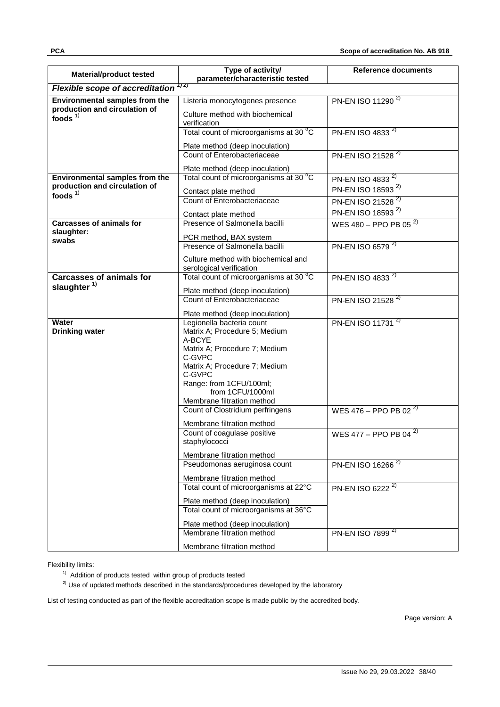| <b>Material/product tested</b>                                                     | Type of activity/                                                    | <b>Reference documents</b>    |  |  |  |
|------------------------------------------------------------------------------------|----------------------------------------------------------------------|-------------------------------|--|--|--|
| parameter/characteristic tested<br>1) 2)<br><b>Flexible scope of accreditation</b> |                                                                      |                               |  |  |  |
|                                                                                    |                                                                      |                               |  |  |  |
| <b>Environmental samples from the</b><br>production and circulation of             | Listeria monocytogenes presence                                      | PN-EN ISO 11290 <sup>2)</sup> |  |  |  |
| foods $1$                                                                          | Culture method with biochemical<br>verification                      |                               |  |  |  |
|                                                                                    | Total count of microorganisms at 30 °C                               | PN-EN ISO 4833 <sup>2)</sup>  |  |  |  |
|                                                                                    | Plate method (deep inoculation)                                      |                               |  |  |  |
|                                                                                    | Count of Enterobacteriaceae                                          | PN-EN ISO 21528 <sup>2)</sup> |  |  |  |
|                                                                                    | Plate method (deep inoculation)                                      |                               |  |  |  |
| Environmental samples from the                                                     | Total count of microorganisms at 30 °C                               | PN-EN ISO 4833 <sup>2)</sup>  |  |  |  |
| production and circulation of                                                      |                                                                      | PN-EN ISO 18593 <sup>2)</sup> |  |  |  |
| foods $1)$                                                                         | Contact plate method<br>Count of Enterobacteriaceae                  | PN-EN ISO 21528 <sup>2)</sup> |  |  |  |
|                                                                                    |                                                                      | PN-EN ISO 18593 <sup>2)</sup> |  |  |  |
|                                                                                    | Contact plate method                                                 |                               |  |  |  |
| <b>Carcasses of animals for</b><br>slaughter:                                      | Presence of Salmonella bacilli                                       | WES 480 - PPO PB 05 $^{2}$    |  |  |  |
| swabs                                                                              | PCR method, BAX system                                               |                               |  |  |  |
|                                                                                    | Presence of Salmonella bacilli                                       | PN-EN ISO 6579 <sup>2)</sup>  |  |  |  |
|                                                                                    | Culture method with biochemical and                                  |                               |  |  |  |
|                                                                                    | serological verification                                             |                               |  |  |  |
| <b>Carcasses of animals for</b><br>slaughter <sup>1)</sup>                         | Total count of microorganisms at 30 °C                               | PN-EN ISO 4833 <sup>2)</sup>  |  |  |  |
|                                                                                    | Plate method (deep inoculation)                                      |                               |  |  |  |
|                                                                                    | Count of Enterobacteriaceae                                          | PN-EN ISO 21528 <sup>2)</sup> |  |  |  |
|                                                                                    | Plate method (deep inoculation)                                      |                               |  |  |  |
| <b>Water</b><br><b>Drinking water</b>                                              | Legionella bacteria count<br>Matrix A; Procedure 5; Medium<br>A-BCYE | PN-EN ISO 11731 <sup>2)</sup> |  |  |  |
|                                                                                    | Matrix A; Procedure 7; Medium<br>C-GVPC                              |                               |  |  |  |
|                                                                                    | Matrix A; Procedure 7; Medium<br>C-GVPC                              |                               |  |  |  |
|                                                                                    | Range: from 1CFU/100ml;<br>from 1CFU/1000ml                          |                               |  |  |  |
|                                                                                    | Membrane filtration method                                           |                               |  |  |  |
|                                                                                    | Count of Clostridium perfringens                                     | WES 476 - PPO PB 02 $^{2)}$   |  |  |  |
|                                                                                    | Membrane filtration method                                           |                               |  |  |  |
|                                                                                    | Count of coagulase positive<br>staphylococci                         | WES 477 - PPO PB 04 $^{2)}$   |  |  |  |
|                                                                                    | Membrane filtration method                                           |                               |  |  |  |
|                                                                                    | Pseudomonas aeruginosa count                                         | PN-EN ISO 16266 <sup>2)</sup> |  |  |  |
|                                                                                    | Membrane filtration method                                           |                               |  |  |  |
|                                                                                    | Total count of microorganisms at 22°C                                | PN-EN ISO 6222 <sup>2)</sup>  |  |  |  |
|                                                                                    | Plate method (deep inoculation)                                      |                               |  |  |  |
|                                                                                    | Total count of microorganisms at 36°C                                |                               |  |  |  |
|                                                                                    | Plate method (deep inoculation)                                      |                               |  |  |  |
|                                                                                    | Membrane filtration method                                           | PN-EN ISO 7899 <sup>2)</sup>  |  |  |  |
|                                                                                    | Membrane filtration method                                           |                               |  |  |  |

<sup>1)</sup> Addition of products tested within group of products tested

2) Use of updated methods described in the standards/procedures developed by the laboratory

List of testing conducted as part of the flexible accreditation scope is made public by the accredited body.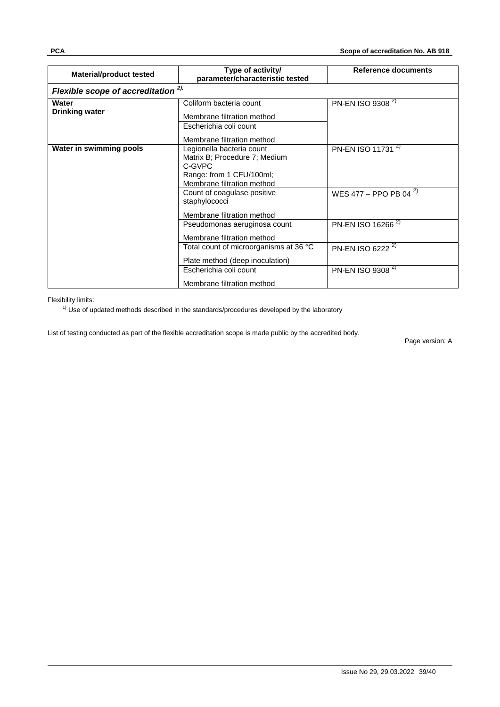| <b>Material/product tested</b>         | Type of activity/<br>parameter/characteristic tested                                                                                                                                            | <b>Reference documents</b>                                                                    |  |  |
|----------------------------------------|-------------------------------------------------------------------------------------------------------------------------------------------------------------------------------------------------|-----------------------------------------------------------------------------------------------|--|--|
| Flexible scope of accreditation $2$ ), |                                                                                                                                                                                                 |                                                                                               |  |  |
| Water<br><b>Drinking water</b>         | Coliform bacteria count<br>Membrane filtration method<br>Escherichia coli count<br>Membrane filtration method                                                                                   | PN-EN ISO 9308 <sup>2)</sup>                                                                  |  |  |
| Water in swimming pools                | Legionella bacteria count<br>Matrix B; Procedure 7; Medium<br>C-GVPC<br>Range: from 1 CFU/100ml;<br>Membrane filtration method<br>Count of coagulase positive<br>staphylococci                  | PN-EN ISO 11731 <sup>2)</sup><br>WES 477 - PPO PB 04 <sup>2)</sup>                            |  |  |
|                                        | Membrane filtration method<br>Pseudomonas aeruginosa count<br>Membrane filtration method<br>Total count of microorganisms at 36 °C<br>Plate method (deep inoculation)<br>Escherichia coli count | PN-EN ISO 16266 <sup>2)</sup><br>PN-EN ISO 6222 <sup>2)</sup><br>PN-EN ISO 9308 <sup>2)</sup> |  |  |
|                                        | Membrane filtration method                                                                                                                                                                      |                                                                                               |  |  |

 $1)$  Use of updated methods described in the standards/procedures developed by the laboratory

List of testing conducted as part of the flexible accreditation scope is made public by the accredited body.